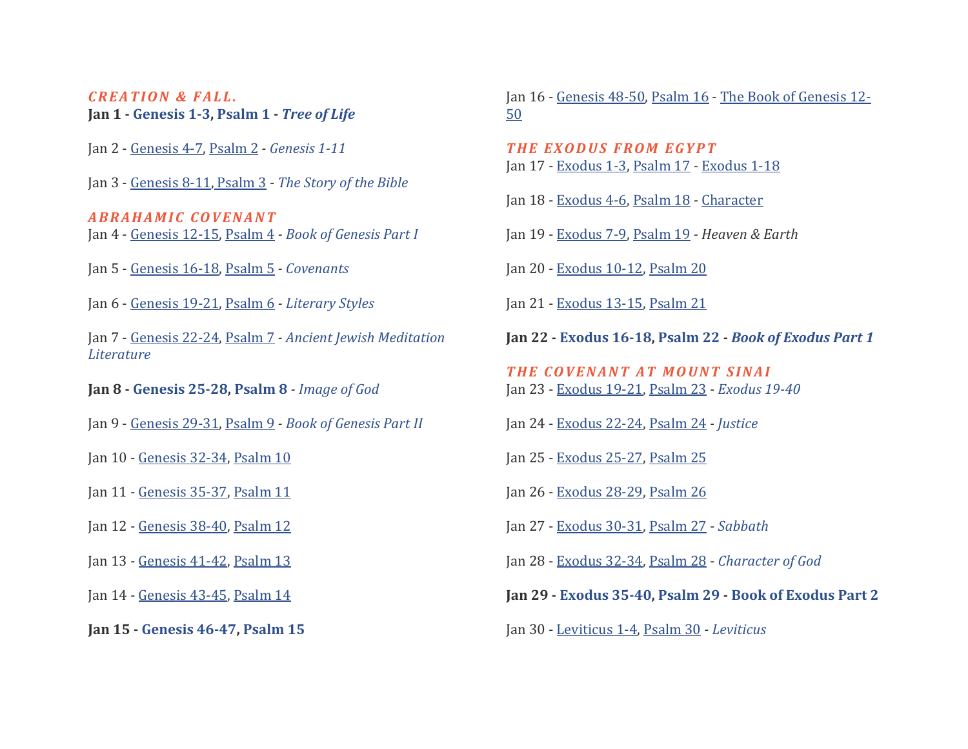# *C R E A T I O N & F A L L .*  **Jan 1 - [Genesis 1-3,](https://bibleproject.com/learn/genesis-1-11/#read-genesis_1-3) [Psalm 1](https://bibleproject.com/learn/psalms/#read-psalms_1)** *- [Tree of Life](https://bibleproject.com/explore/video/tree-of-life/)*

- Jan 2 [Genesis 4-7,](https://bibleproject.com/learn/genesis-1-11/#read-genesis_4-7) [Psalm 2](https://bibleproject.com/learn/psalms/#read-psalms_2) *- [Genesis 1-11](https://bibleproject.com/explore/video/torah-genesis-1/)*
- Jan 3 [Genesis 8-11,](https://bibleproject.com/learn/genesis-1-11/#read-genesis_8-11) [Psalm 3](https://bibleproject.com/learn/psalms/#read-psalms_3) *- [The Story of the Bible](https://bibleproject.com/explore/video/the-story-of-the-bible/)*

*ABRAHAMIC COVENANT* Jan 4 - [Genesis 12-15,](https://bibleproject.com/learn/genesis-1-11/#read-genesis_12-15) [Psalm 4](https://bibleproject.com/learn/psalms/#read-psalms_4) *- [Book of Genesis Part I](https://bibleproject.com/explore/video/genesis-1-11/)*

- Jan 5 [Genesis 16-18,](https://bibleproject.com/learn/genesis-1-11/#read-genesis_16-18) [Psalm 5](https://bibleproject.com/learn/psalms/#read-psalms_5) *- [Covenants](https://bibleproject.com/explore/video/covenants/)*
- Jan 6 [Genesis 19-21,](https://bibleproject.com/learn/genesis-1-11/#read-genesis_19-21) [Psalm 6](https://bibleproject.com/learn/psalms/#read-psalms_6) *- [Literary Styles](https://bibleproject.com/explore/video/literary-styles-bible/)*

Jan 7 - [Genesis 22-24,](https://bibleproject.com/learn/genesis-1-11/#read-genesis_22-24) [Psalm 7](https://bibleproject.com/learn/psalms/#read-psalms_7) *- [Ancient Jewish Meditation](https://bibleproject.com/explore/video/bible-jewish-meditation-literature-h2r/)  [Literature](https://bibleproject.com/explore/video/bible-jewish-meditation-literature-h2r/)*

- **Jan 8 - [Genesis 25-28,](https://bibleproject.com/learn/genesis-12-50/#read-genesis_25-28) [Psalm 8](https://bibleproject.com/learn/psalms/#read-psalm_8)** *- Image [of God](https://bibleproject.com/explore/video/image-of-god/)*
- Jan 9 [Genesis 29-31,](https://bibleproject.com/learn/genesis-12-50/#read-genesis_29-31) [Psalm 9](https://bibleproject.com/learn/psalms/#read-psalm_9) *- [Book of Genesis Part II](https://bibleproject.com/explore/video/torah-genesis-2/)*
- Jan 10 [Genesis 32-34,](https://bibleproject.com/learn/genesis-12-50/#read-genesis_32-34) [Psalm 10](https://bibleproject.com/learn/psalms/#read-psalm_10)
- Jan 11 [Genesis 35-37,](https://bibleproject.com/learn/genesis-12-50/#read-genesis_35-37) [Psalm 11](https://bibleproject.com/learn/psalms/#read-psalm_11)
- Jan 12 [Genesis 38-40,](https://bibleproject.com/learn/genesis-12-50/#read-genesis_38-40) [Psalm 12](https://bibleproject.com/learn/psalms/#read-psalm_12)
- Jan 13 [Genesis 41-42,](https://bibleproject.com/learn/genesis-12-50/#read-genesis_41-42) [Psalm 13](https://bibleproject.com/learn/psalms/#read-psalm_13)
- Jan 14 [Genesis 43-45,](https://bibleproject.com/learn/genesis-12-50/#read-genesis_43-45) [Psalm 14](https://bibleproject.com/learn/psalms/#read-psalm_14)
- **Jan 15 - [Genesis 46-47,](https://bibleproject.com/learn/genesis-12-50/#read-genesis_46-47) [Psalm 15](https://bibleproject.com/learn/psalms/#read-psalm_15)**

Jan 16 - [Genesis 48-50,](https://bibleproject.com/learn/genesis-12-50/#read-genesis_48-50) [Psalm 16](https://bibleproject.com/learn/psalms/#read-psalm_16) - [The Book of Genesis 12-](https://bibleproject.com/explore/video/genesis-12-50/) [50](https://bibleproject.com/explore/video/genesis-12-50/)

- *T H E E X O D U S F R O M E G Y P T* Jan 17 - [Exodus 1-3,](https://bibleproject.com/learn/exodus-1-18/#read-exodus_1-3) [Psalm 17](https://bibleproject.com/learn/psalms/#read-psalm_17) *-* [Exodus 1-18](https://bibleproject.com/explore/video/torah-exodus-1/)
- Jan 18 [Exodus 4-6,](https://bibleproject.com/learn/exodus-1-18/#read-exodus_4-6) [Psalm 18](https://bibleproject.com/learn/psalms/#read-psalm_18) *-* [Character](https://bibleproject.com/explore/video/character-biblical-narrative/)
- Jan 19 [Exodus 7-9,](https://bibleproject.com/learn/exodus-1-18/#read-exodus_7-9) [Psalm 19](https://bibleproject.com/learn/psalms/#read-psalm_19) *- Heaven & Earth*
- Jan 20 [Exodus 10-12,](https://bibleproject.com/learn/exodus-1-18/#read-exodus_10-12) [Psalm 20](https://bibleproject.com/learn/psalms/#read-psalm_20)
- Jan 21 [Exodus 13-15,](https://bibleproject.com/learn/exodus-1-18/#read-exodus_13-15) [Psalm 21](https://bibleproject.com/learn/psalms/#read-psalm_21)
- **Jan 22 - [Exodus 16-18,](https://bibleproject.com/learn/exodus-19-40/#read-exodus_16-18) [Psalm 22](https://bibleproject.com/learn/psalms/#read-psalm_22) -** *[Book of Exodus Part 1](https://bibleproject.com/explore/video/torah-exodus-1/)*
- *T H E C O V E N A N T A T M O U N T S I N A I* Jan 23 - [Exodus 19-21,](https://bibleproject.com/learn/exodus-19-40/#read-exodus_19-21) [Psalm 23](https://bibleproject.com/learn/psalms/#read-psalm_23) *- [Exodus 19-40](https://bibleproject.com/explore/video/torah-exodus-2/)*
- Jan 24 [Exodus 22-24,](https://bibleproject.com/learn/exodus-19-40/#read-exodus_22-24) [Psalm 24](https://bibleproject.com/learn/psalms/#read-psalm_24) *- [Justice](https://bibleproject.com/explore/video/justice/)*
- Jan 25 [Exodus 25-27,](https://bibleproject.com/learn/exodus-19-40/#read-exodus_25-27) [Psalm 25](https://bibleproject.com/learn/psalms/#read-psalm_25)
- Jan 26 [Exodus 28-29,](https://bibleproject.com/learn/exodus-19-40/#read-exodus_28-29) [Psalm 26](https://bibleproject.com/learn/psalms/#read-psalm_26)
- Jan 27 [Exodus 30-31,](https://bibleproject.com/learn/exodus-19-40/#read-exodus_30-31) [Psalm 27](https://bibleproject.com/learn/psalms/#read-psalm_27) *[Sabbath](https://bibleproject.com/explore/video/sabbath-video/)*
- Jan 28 [Exodus 32-34,](https://bibleproject.com/learn/exodus-19-40/#read-exodus_32-34) [Psalm 28](https://bibleproject.com/learn/psalms/#read-psalm_28) *[Character of God](https://bibleproject.com/explore/category/character-of-god-series/)*
- **Jan 29 - [Exodus 35-40,](https://bibleproject.com/learn/exodus-19-40/#read-exodus_35-40) [Psalm 29](https://bibleproject.com/learn/psalms/#read-psalms_29) - [Book of Exodus Part 2](https://bibleproject.com/explore/video/exodus-19-40/)**
- Jan 30 [Leviticus 1-4,](https://bibleproject.com/learn/leviticus/#read-leviticus_1-4) [Psalm 30](https://bibleproject.com/learn/psalms/#read-psalms_30) *- [Leviticus](https://bibleproject.com/explore/video/torah-leviticus/)*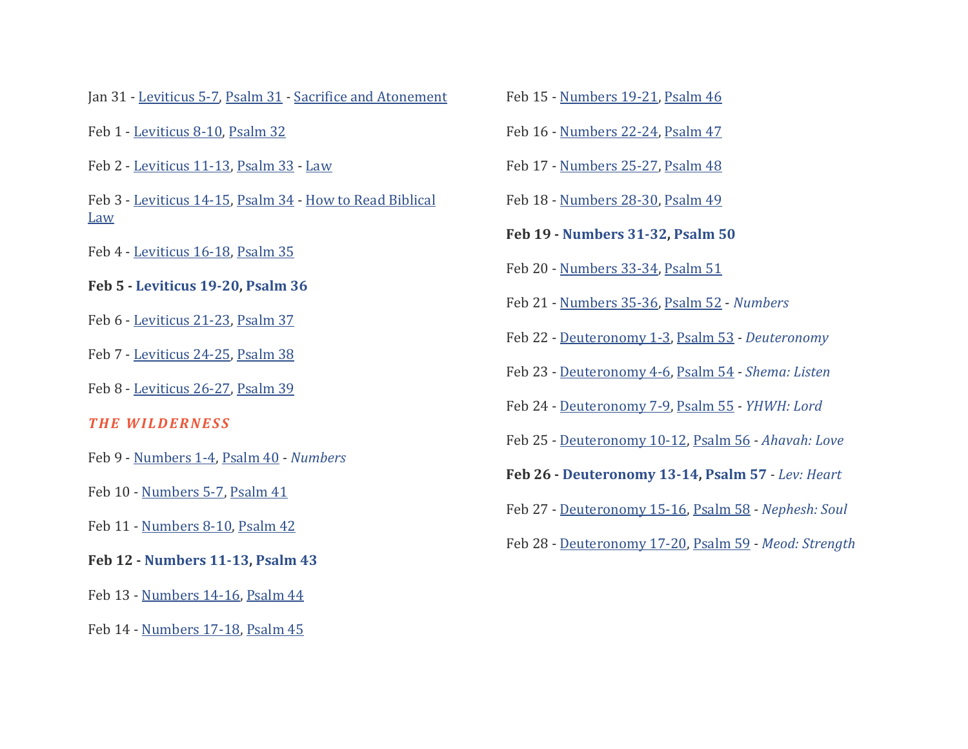Jan 31 - [Leviticus 5-7,](https://bibleproject.com/learn/leviticus/#read-leviticus_5-7) [Psalm 31](https://bibleproject.com/learn/psalms/#read-psalms_31) *-* [Sacrifice and Atonement](https://bibleproject.com/explore/video/sacrifice-and-atonement/)

- Feb 1 [Leviticus 8-10,](https://bibleproject.com/learn/leviticus/#read-leviticus_8-10) [Psalm 32](https://bibleproject.com/learn/psalms/#read-psalms_32)
- Feb 2 [Leviticus 11-13,](https://bibleproject.com/learn/leviticus/#read-leviticus_11-13) [Psalm 33](https://bibleproject.com/learn/psalms/#read-psalms_33) [Law](https://bibleproject.com/explore/video/law/)
- Feb 3 [Leviticus 14-15,](https://bibleproject.com/learn/leviticus/#read-leviticus_14-15) [Psalm 34](https://bibleproject.com/learn/psalms/#read-psalms_34) [How to Read Biblical](https://bibleproject.com/explore/video/reading-biblical-law/)  [Law](https://bibleproject.com/explore/video/reading-biblical-law/)
- Feb 4 [Leviticus 16-18,](https://bibleproject.com/learn/leviticus/#read-leviticus_16-18) [Psalm 35](https://bibleproject.com/learn/psalms/#read-psalms_35)
- **Feb 5 - [Leviticus 19-20,](https://bibleproject.com/learn/leviticus/#read-leviticus_19-20) [Psalm 36](https://bibleproject.com/learn/psalms/#read-psalms_36)**
- Feb 6 [Leviticus 21-23,](https://bibleproject.com/learn/leviticus/#read-leviticus_21-23) [Psalm 37](https://bibleproject.com/learn/psalms/#read-psalms_37)
- Feb 7 [Leviticus 24-25,](https://bibleproject.com/learn/leviticus/#read-leviticus_24-25) [Psalm 38](https://bibleproject.com/learn/psalms/#read-psalms_38)
- Feb 8 [Leviticus 26-27,](https://bibleproject.com/learn/leviticus/#read-leviticus_26-27) [Psalm 39](https://bibleproject.com/learn/psalms/#read-psalms_39)
- *THE WILDERNESS*
- Feb 9 [Numbers 1-4,](https://bibleproject.com/learn/numbers/#read-numbers_1-4) [Psalm 40](https://bibleproject.com/learn/psalms/#read-psalms_40) *- [Numbers](https://bibleproject.com/explore/video/torah-numbers/)*
- Feb 10 [Numbers 5-7,](https://bibleproject.com/learn/numbers/#read-numbers_5-7) [Psalm 41](https://bibleproject.com/learn/psalms/#read-psalms_41)
- Feb 11 [Numbers 8-10,](https://bibleproject.com/learn/numbers/#read-numbers_8-10) [Psalm 42](https://bibleproject.com/learn/psalms/#read-psalms_42)
- **Feb 12 - [Numbers 11-13,](https://bibleproject.com/learn/numbers/#read-numbers_11-13) [Psalm 43](https://bibleproject.com/learn/psalms/#read-psalm_43)**
- Feb 13 [Numbers 14-16,](https://bibleproject.com/learn/numbers/#read-numbers_14-16) [Psalm 44](https://bibleproject.com/learn/psalms/#read-psalm_44)
- Feb 14 [Numbers 17-18,](https://bibleproject.com/learn/numbers/#read-numbers_17-18) [Psalm 45](https://bibleproject.com/learn/psalms/#read-psalm_45)
- Feb 15 [Numbers 19-21,](https://bibleproject.com/learn/numbers/#read-numbers_19-21) [Psalm 46](https://bibleproject.com/learn/psalms/#read-psalm_46)
- Feb 16 [Numbers 22-24,](https://bibleproject.com/learn/numbers/#read-numbers_22-24) [Psalm 47](https://bibleproject.com/learn/psalms/#read-psalm_47)
- Feb 17 [Numbers 25-27,](https://bibleproject.com/learn/numbers/#read-numbers_25-27) [Psalm 48](https://bibleproject.com/learn/psalms/#read-psalm_48)
- Feb 18 [Numbers 28-30,](https://bibleproject.com/learn/numbers/#read-numbers_28-30) [Psalm 49](https://bibleproject.com/learn/psalms/#read-psalm_49)
- **Feb 19 - [Numbers 31-32,](https://bibleproject.com/learn/numbers/#read-numbers_31-32) [Psalm 50](https://bibleproject.com/learn/psalms/#read-psalms_50)**
- Feb 20 [Numbers 33-34,](https://bibleproject.com/learn/numbers/#read-numbers_33-34) [Psalm 51](https://bibleproject.com/learn/psalms/#read-psalms_51)
- Feb 21 [Numbers 35-36,](https://bibleproject.com/learn/numbers/#read-numbers_35-36) [Psalm 52](https://bibleproject.com/learn/psalms/#read-psalms_52) *[Numbers](https://bibleproject.com/explore/video/numbers/)*
- Feb 22 [Deuteronomy 1-3,](https://bibleproject.com/learn/deuteronomy/#read-deuteronomy_1-3) [Psalm 53](https://bibleproject.com/learn/psalms/#read-psalms_53) *- [Deuteronomy](https://bibleproject.com/explore/video/torah-deuteronomy/)*
- Feb 23 [Deuteronomy 4-6,](https://bibleproject.com/learn/deuteronomy/#read-deuteronomy_4-6) [Psalm 54](https://bibleproject.com/learn/psalms/#read-psalms_54) *- [Shema: Listen](https://bibleproject.com/explore/video/shema-listen/)*
- Feb 24 [Deuteronomy 7-9,](https://bibleproject.com/learn/deuteronomy/#read-deuteronomy_7-9) [Psalm 55](https://bibleproject.com/learn/psalms/#read-psalms_55) *- [YHWH: Lord](https://bibleproject.com/explore/video/yhwh-lord/)*
- Feb 25 [Deuteronomy 10-12,](https://bibleproject.com/learn/deuteronomy/#read-deuteronomy_10-12) [Psalm 56](https://bibleproject.com/learn/psalms/#read-psalms_56) *- [Ahavah: Love](https://bibleproject.com/explore/video/ahavah-love/)*
- **Feb 26 - [Deuteronomy 13-14,](https://bibleproject.com/learn/deuteronomy/#read-deuteronomy_13-14) [Psalm 57](https://bibleproject.com/learn/psalms/#read-psalms_57)** *- [Lev: Heart](https://bibleproject.com/explore/video/lev-heart/)*
- Feb 27 [Deuteronomy 15-16,](https://bibleproject.com/learn/deuteronomy/#read-deuteronomy_15-16) [Psalm 58](https://bibleproject.com/learn/psalms/#read-psalms_58) *- [Nephesh: Soul](https://bibleproject.com/explore/video/nephesh-soul/)*
- Feb 28 [Deuteronomy 17-20,](https://bibleproject.com/learn/deuteronomy/#read-deuteronomy_17-20) [Psalm 59](https://bibleproject.com/learn/psalms/#read-psalms_59) *- [Meod: Strength](https://bibleproject.com/explore/video/meod-strength/)*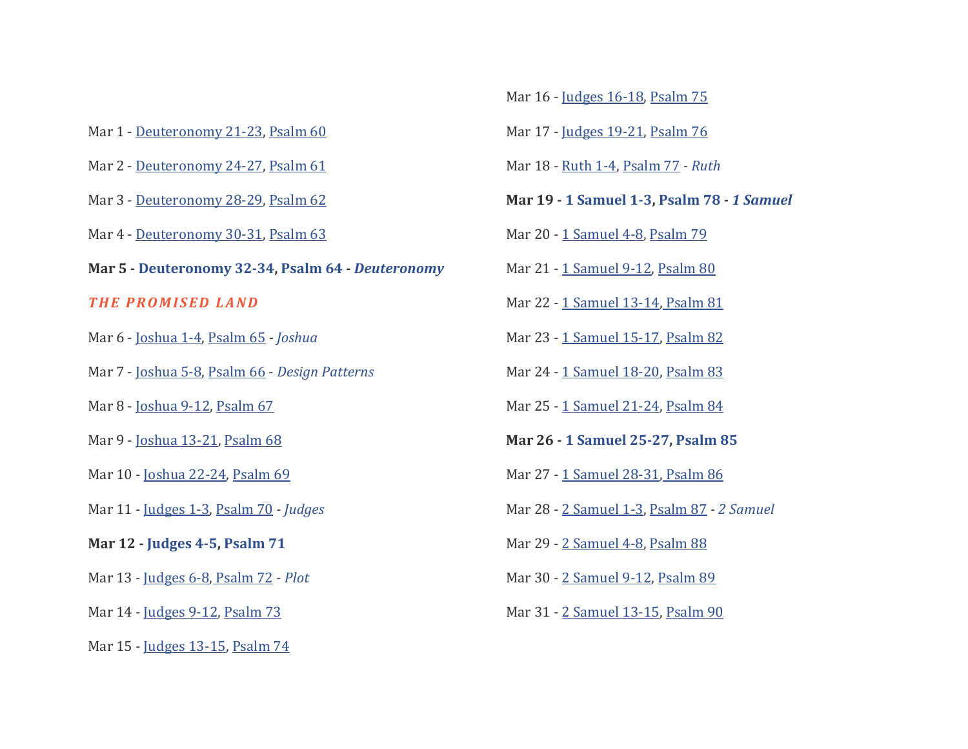- Mar 1 [Deuteronomy 21-23,](https://bibleproject.com/learn/deuteronomy/#read-deuteronomy_21-23) [Psalm 60](https://bibleproject.com/learn/psalms/#read-psalms_60)
- Mar 2 [Deuteronomy 24-27,](https://bibleproject.com/learn/deuteronomy/#read-deuteronomy_24-27) [Psalm 61](https://bibleproject.com/learn/psalms/#read-psalms_61)
- Mar 3 [Deuteronomy 28-29,](https://bibleproject.com/learn/deuteronomy/#read-deuteronomy_28-29) [Psalm 62](https://bibleproject.com/learn/psalms/#read-psalms_62)
- Mar 4 [Deuteronomy 30-31,](https://bibleproject.com/learn/deuteronomy/#read-deuteronomy_30-31) [Psalm 63](https://bibleproject.com/learn/psalms/#read-psalms_63)
- **Mar 5 - [Deuteronomy 32-34,](https://bibleproject.com/learn/deuteronomy/#read-deuteronomy_32-34) [Psalm 64](https://bibleproject.com/learn/psalms/#read-psalms_64) -** *[Deuteronomy](https://bibleproject.com/explore/video/deuteronomy/)*

#### *THE PROMISED LAND*

- Mar 6 [Joshua 1-4,](https://bibleproject.com/learn/joshua/#read-joshua_1-4) [Psalm 65](https://bibleproject.com/learn/psalms/#read-psalms_65) *- [Joshua](https://bibleproject.com/explore/video/joshua/)*
- Mar 7 [Joshua 5-8,](https://bibleproject.com/learn/joshua/#read-joshua_5-8) [Psalm 66](https://bibleproject.com/learn/psalms/#read-psalms_66) *[Design Patterns](https://bibleproject.com/explore/video/design-patterns-biblical-narrative/)*
- Mar 8 [Joshua 9-12,](https://bibleproject.com/learn/joshua/#read-joshua_9-12) [Psalm 67](https://bibleproject.com/learn/psalms/#read-psalms_67)
- Mar 9 [Joshua 13-21,](https://bibleproject.com/learn/joshua/#read-joshua_13-21) [Psalm 68](https://bibleproject.com/learn/psalms/#read-psalms_68)
- Mar 10 [Joshua 22-24,](https://bibleproject.com/learn/joshua/#read-joshua_22-24) [Psalm 69](https://bibleproject.com/learn/psalms/#read-psalms_69)
- Mar 11 [Judges 1-3,](https://bibleproject.com/learn/judges/#read-judges_1-3) [Psalm 70](https://bibleproject.com/learn/psalms/#read-psalms_70) *- [Judges](https://bibleproject.com/explore/video/judges/)*
- **Mar 12 - [Judges 4-5,](https://bibleproject.com/learn/judges/#read-judges_4-5) [Psalm 71](https://bibleproject.com/learn/psalms/#read-psalms_71)**
- Mar 13 [Judges 6-8,](https://bibleproject.com/learn/judges/#read-judges_6-8) [Psalm 72](https://bibleproject.com/learn/psalms/#read-psalms_72) *[Plot](https://bibleproject.com/explore/video/plot-biblical-narrative/)*
- Mar 14 [Judges 9-12,](https://bibleproject.com/learn/judges/#read-judges_9-12) [Psalm 73](https://bibleproject.com/learn/psalms/#read-psalms_73)
- Mar 15 [Judges 13-15,](https://bibleproject.com/learn/judges/#read-judges_13-15) [Psalm 74](https://bibleproject.com/learn/psalms/#read-psalms_74)
- Mar 16 [Judges 16-18,](https://bibleproject.com/learn/judges/#read-judges_16-18) [Psalm 75](https://bibleproject.com/learn/psalms/#read-psalms_75)
- Mar 17 [Judges 19-21,](https://bibleproject.com/learn/judges/#read-judges_19-21) [Psalm 76](https://bibleproject.com/learn/psalms/#read-psalms_76)
- Mar 18 [Ruth 1-4,](https://bibleproject.com/learn/ruth/#read-ruth_1-4) [Psalm 77](https://bibleproject.com/learn/psalms/#read-psalms_77) *- [Ruth](https://bibleproject.com/explore/video/ruth/)*
- **Mar 19 - [1 Samuel 1-3,](https://bibleproject.com/learn/1-samuel/#read-1_Samuel_1-3) [Psalm 78](https://bibleproject.com/learn/psalms/#read-psalms_78)** *- [1 Samuel](https://bibleproject.com/explore/video/1-samuel/)*
- Mar 20 [1 Samuel 4-8,](https://bibleproject.com/learn/1-samuel/#read-1_Samuel_4-8) [Psalm 79](https://bibleproject.com/learn/psalms/#read-psalms_79)
- Mar 21 [1 Samuel 9-12,](https://bibleproject.com/learn/1-samuel/#read-1_Samuel_9-12) [Psalm 80](https://bibleproject.com/learn/psalms/#read-psalms_80)
- Mar 22 [1 Samuel 13-14,](https://bibleproject.com/learn/1-samuel/#read-1_Samuel_13-14) [Psalm 81](https://bibleproject.com/learn/psalms/#read-psalms_81)
- Mar 23 [1 Samuel 15-17,](https://bibleproject.com/learn/1-samuel/#read-1_Samuel_15-17) [Psalm 82](https://bibleproject.com/learn/psalms/#read-psalms_82)
- Mar 24 [1 Samuel 18-20,](https://bibleproject.com/learn/1-samuel/#read-1_Samuel_18-20) [Psalm 83](https://bibleproject.com/learn/psalms/#read-psalms_83)
- Mar 25 [1 Samuel 21-24,](https://bibleproject.com/learn/1-samuel/#read-1_Samuel_21-24) [Psalm 84](https://bibleproject.com/learn/psalms/#read-psalms_84)
- **Mar 26 - [1 Samuel 25-27,](https://bibleproject.com/learn/1-samuel/#read-1_Samuel_25-27) [Psalm 85](https://bibleproject.com/learn/psalms/#read-psalms_85)**
- Mar 27 [1 Samuel 28-31,](https://bibleproject.com/learn/1-samuel/#read-1_Samuel_28-31) [Psalm 86](https://bibleproject.com/learn/psalms/#read-psalms_86)
- Mar 28 [2 Samuel 1-3,](https://bibleproject.com/learn/2-samuel/#read-2_Samuel_1-3) [Psalm 87](https://bibleproject.com/learn/psalms/#read-psalms_87) *- [2 Samuel](https://bibleproject.com/explore/video/2-samuel/)*
- Mar 29 [2 Samuel 4-8,](https://bibleproject.com/learn/2-samuel/#read-2_Samuel_4-8) [Psalm 88](https://bibleproject.com/learn/psalms/#read-psalms_88)
- Mar 30 [2 Samuel 9-12,](https://bibleproject.com/learn/2-samuel/#read-2_Samuel_9-12) [Psalm 89](https://bibleproject.com/learn/psalms/#read-psalms_89)
- Mar 31 [2 Samuel 13-15,](https://bibleproject.com/learn/2-samuel/#read-2_Samuel_13-15) [Psalm 90](https://bibleproject.com/learn/psalms/#read-psalms_90)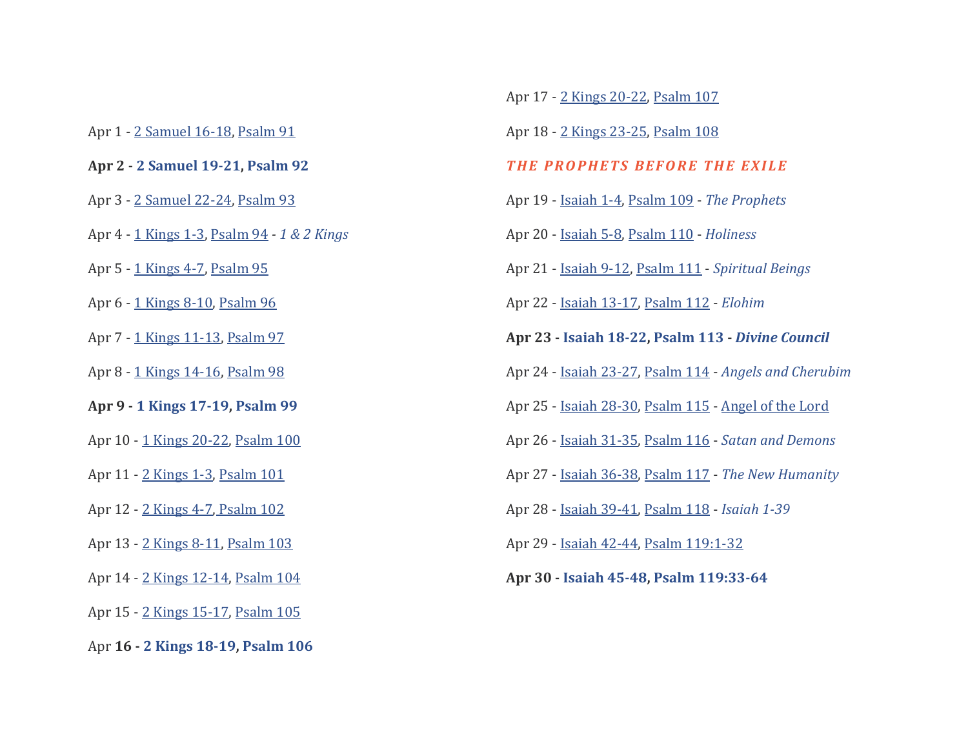Apr 1 - [2 Samuel 16-18,](https://bibleproject.com/learn/2-samuel/#read-2_Samuel_16-18) [Psalm 91](https://bibleproject.com/learn/psalms/#read-psalms_91)

#### **Apr 2 - [2 Samuel 19-21,](https://bibleproject.com/learn/2-samuel/#read-2_Samuel_19-21) [Psalm 92](https://bibleproject.com/learn/psalms/#read-psalms_92)**

- Apr 3 [2 Samuel 22-24,](https://bibleproject.com/learn/2-samuel/#read-2_Samuel_22-24) [Psalm 93](https://bibleproject.com/learn/psalms/#read-psalms_93)
- Apr 4 [1 Kings 1-3,](https://bibleproject.com/learn/1-2-kings/#read-1_kings_1-3) [Psalm 94](https://bibleproject.com/learn/psalms/#read-psalms_94) *- [1 & 2 Kings](https://bibleproject.com/explore/video/kings/)*
- Apr 5 [1 Kings 4-7,](https://bibleproject.com/learn/1-2-kings/#read-1_kings_4-7) [Psalm 95](https://bibleproject.com/learn/psalms/#read-psalms_95)
- Apr 6 [1 Kings 8-10,](https://bibleproject.com/learn/1-2-kings/#read-1_kings_8-10) [Psalm 96](https://bibleproject.com/learn/psalms/#read-psalms_96)
- Apr 7 [1 Kings 11-13,](https://bibleproject.com/learn/1-2-kings/#read-1_kings_11-13) [Psalm 97](https://bibleproject.com/learn/psalms/#read-psalms_97)
- Apr 8 [1 Kings 14-16,](https://bibleproject.com/learn/1-2-kings/#read-1_kings_14-16) [Psalm 98](https://bibleproject.com/learn/psalms/#read-psalms_98)
- **Apr 9 - [1 Kings 17-19,](https://bibleproject.com/learn/1-2-kings/#read-1_kings_17-19) [Psalm 99](https://bibleproject.com/learn/psalms/#read-psalms_99)**
- Apr 10 [1 Kings 20-22,](https://bibleproject.com/learn/1-2-kings/#read-1_kings_20-22) [Psalm 100](https://bibleproject.com/learn/psalms/#read-psalms_100)
- Apr 11 [2 Kings 1-3,](https://bibleproject.com/learn/1-2-kings/#read-2_kings_1-3) [Psalm 101](https://bibleproject.com/learn/psalms/#read-psalms_101)
- Apr 12 [2 Kings 4-7,](https://bibleproject.com/learn/1-2-kings/#read-2_kings_4-7) [Psalm 102](https://bibleproject.com/learn/psalms/#read-psalms_102)
- Apr 13 [2 Kings 8-11,](https://bibleproject.com/learn/1-2-kings/#read-2_kings_8-11) [Psalm 103](https://bibleproject.com/learn/psalms/#read-psalms_103)
- Apr 14 [2 Kings 12-14,](https://bibleproject.com/learn/1-2-kings/#read-2_kings_12-14) [Psalm 104](https://bibleproject.com/learn/psalms/#read-psalms_104)
- Apr 15 [2 Kings 15-17,](https://bibleproject.com/learn/1-2-kings/#read-2_kings_15-17) [Psalm 105](https://bibleproject.com/learn/psalms/#read-psalms_105)
- Apr **16 - [2 Kings 18-19,](https://bibleproject.com/learn/1-2-kings/#read-2_kings_18-19) [Psalm 106](https://bibleproject.com/learn/psalms/#read-psalms_106)**
- Apr 17 [2 Kings 20-22,](https://bibleproject.com/learn/1-2-kings/#read-2_kings_20-22) [Psalm 107](https://bibleproject.com/learn/psalms/#read-psalms_107)
- Apr 18 [2 Kings 23-25,](https://bibleproject.com/learn/1-2-kings/#read-2_kings_23-25) [Psalm 108](https://bibleproject.com/learn/psalms/#read-psalms_108)

## *THE PROPHETS BEFORE THE EXILE*

- Apr 19 [Isaiah 1-4,](https://bibleproject.com/learn/isaiah/#read-isaiah_1-4) [Psalm 109](https://bibleproject.com/learn/psalms/#read-psalms_109) *[The Prophets](https://bibleproject.com/explore/video/the-prophets/)*
- Apr 20 [Isaiah 5-8,](https://bibleproject.com/learn/isaiah/#read-isaiah_5-8) [Psalm 110](https://bibleproject.com/learn/psalms/#read-psalms_110) *[Holiness](https://bibleproject.com/explore/video/holiness/)*
- Apr 21 [Isaiah 9-12,](https://bibleproject.com/learn/isaiah/#read-isaiah_9-12) [Psalm 111](https://bibleproject.com/learn/psalms/#read-psalms_111) *[Spiritual Beings](https://bibleproject.com/explore/video/intro-spiritual-beings/)*
- Apr 22 [Isaiah 13-17,](https://bibleproject.com/learn/isaiah/#read-isaiah_13-17) [Psalm 112](https://bibleproject.com/learn/psalms/#read-psalms_112) *[Elohim](https://bibleproject.com/explore/video/elohim/)*
- **Apr 23 - [Isaiah 18-22,](https://bibleproject.com/learn/isaiah/#read-isaiah_18-22) [Psalm 113](https://bibleproject.com/learn/psalms/#read-psalms_113) -** *[Divine Council](https://bibleproject.com/explore/video/divine-council/)*
- Apr 24 [Isaiah 23-27,](https://bibleproject.com/learn/isaiah/#read-isaiah_23-27) [Psalm 114](https://bibleproject.com/learn/psalms/#read-psalms_114) *[Angels and Cherubim](https://bibleproject.com/explore/video/angels-cherubim/)*
- Apr 25 [Isaiah 28-30,](https://bibleproject.com/learn/isaiah/#read-isaiah_28-30) [Psalm 115](https://bibleproject.com/learn/psalms/#read-psalms_115) [Angel of the Lord](https://bibleproject.com/explore/video/angel-lord/)
- Apr 26 [Isaiah 31-35,](https://bibleproject.com/learn/isaiah/#read-isaiah_31-35) [Psalm 116](https://bibleproject.com/learn/psalms/#read-psalms_116) *[Satan and Demons](https://bibleproject.com/explore/video/satan-demons/)*
- Apr 27 [Isaiah 36-38,](https://bibleproject.com/learn/isaiah/#read-isaiah_36-38) [Psalm 117](https://bibleproject.com/learn/psalms/#read-psalms_117) *[The New Humanity](https://bibleproject.com/explore/video/new-humanity/)*
- Apr 28 [Isaiah 39-41,](https://bibleproject.com/learn/isaiah/#read-isaiah_39-41) [Psalm 118](https://bibleproject.com/learn/psalms/#read-psalms_118) *[Isaiah 1-39](https://bibleproject.com/explore/video/isaiah-1-39/)*
- Apr 29 [Isaiah 42-44,](https://bibleproject.com/learn/isaiah/#read-isaiah_42-44) [Psalm 119:1-32](https://bibleproject.com/learn/psalms/#read-psalms_119:1-32)
- **Apr 30 - [Isaiah 45-48,](https://bibleproject.com/learn/isaiah/#read-isaiah_45-48) [Psalm 119:33-64](https://bibleproject.com/learn/psalms/#read-psalms_119:33-64)**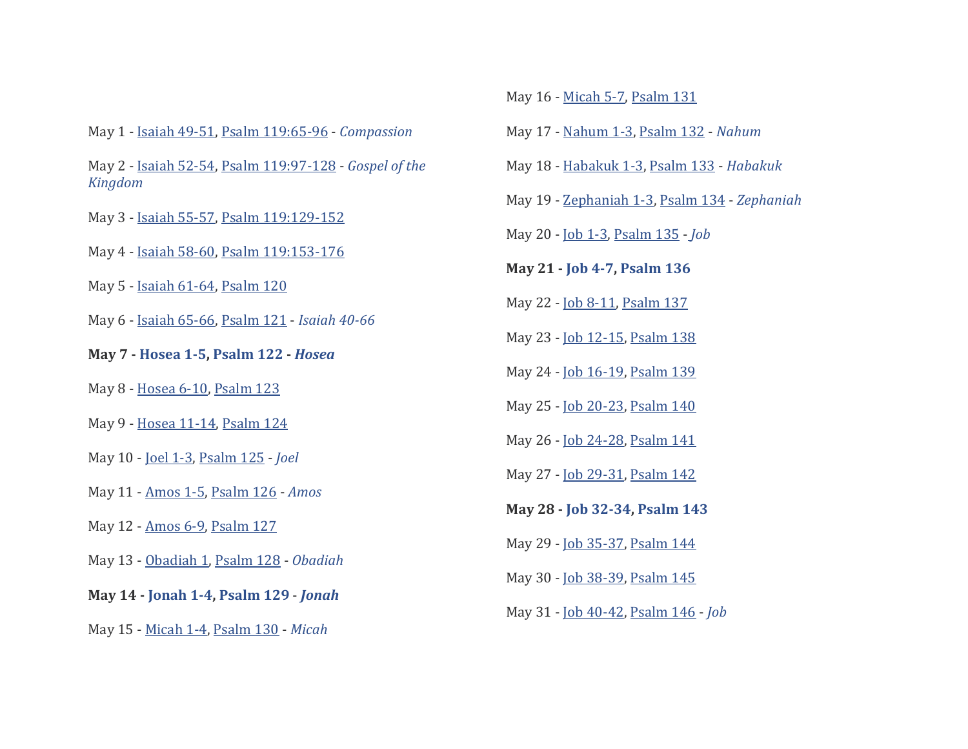May 1 - [Isaiah 49-51,](https://bibleproject.com/learn/isaiah/#read-isaiah_49-51) [Psalm 119:65-96](https://bibleproject.com/learn/psalms/#read-psalms_119:65-96) - *[Compassion](https://bibleproject.com/explore/video/character-of-god-compassion/)*

- May 2 [Isaiah 52-54,](https://bibleproject.com/learn/isaiah/#read-isaiah_52-54) [Psalm 119:97-128](https://bibleproject.com/learn/psalms/#read-psalms_119:97-128) *[Gospel of the](https://bibleproject.com/explore/video/gospel-kingdom/)  [Kingdom](https://bibleproject.com/explore/video/gospel-kingdom/)*
- May 3 [Isaiah 55-57,](https://bibleproject.com/learn/isaiah/#read-isaiah_55-57) [Psalm 119:129-152](https://bibleproject.com/learn/psalms/#read-psalms_119:129-152)
- May 4 [Isaiah 58-60,](https://bibleproject.com/learn/isaiah/#read-isaiah_58-60) [Psalm 119:153-176](https://bibleproject.com/learn/psalms/#read-psalms_119:153-176)
- May 5 [Isaiah 61-64,](https://bibleproject.com/learn/isaiah/#read-isaiah_61-64) [Psalm 120](https://bibleproject.com/learn/psalms/#read-psalms_120)
- May 6 [Isaiah 65-66,](https://bibleproject.com/learn/isaiah/#read-isaiah_65-66) [Psalm 121](https://bibleproject.com/learn/psalms/#read-psalms_121) *[Isaiah 40-66](https://bibleproject.com/explore/video/isaiah-40-66/)*
- **May 7 - [Hosea 1-5,](https://bibleproject.com/learn/hosea/#read-hosea_1-5) [Psalm 122](https://bibleproject.com/learn/psalms/#read-psalms_122) -** *[Hosea](https://bibleproject.com/explore/video/hosea/)*
- May 8 [Hosea 6-10,](https://bibleproject.com/learn/hosea/#read-hosea_6-10) [Psalm 123](https://bibleproject.com/learn/psalms/#read-psalms_123)
- May 9 [Hosea 11-14,](https://bibleproject.com/learn/hosea/#read-hosea_11-14) [Psalm 124](https://bibleproject.com/learn/psalms/#read-psalms_124)
- May 10 [Joel 1-3,](https://bibleproject.com/learn/joel/#read-joel) [Psalm 125](https://bibleproject.com/learn/psalms/#read-psalms_125) *[Joel](https://bibleproject.com/explore/video/joel/)*
- May 11 [Amos 1-5,](https://bibleproject.com/learn/amos/#read-amos_1-5) [Psalm 126](https://bibleproject.com/learn/psalms/#read-psalms_126) *[Amos](https://bibleproject.com/explore/video/amos/)*
- May 12 [Amos 6-9,](https://bibleproject.com/learn/amos/#read-amos_6-9) [Psalm 127](https://bibleproject.com/learn/psalms/#read-psalms_127)
- May 13 [Obadiah 1,](https://bibleproject.com/learn/obadiah/#read-obadiah) [Psalm 128](https://bibleproject.com/learn/psalms/#read-psalms_128) *[Obadiah](https://bibleproject.com/explore/video/obadiah/)*
- **May 14 - [Jonah 1-4,](https://bibleproject.com/learn/jonah/#read-jonah) [Psalm 129](https://bibleproject.com/learn/psalms/#read-psalms_129)** *[Jonah](https://bibleproject.com/explore/video/jonah/)*
- May 15 [Micah 1-4,](https://bibleproject.com/learn/micah/#read-micah_1-4) [Psalm 130](https://bibleproject.com/learn/psalms/#read-psalms_130) *[Micah](https://bibleproject.com/explore/video/micah/)*
- May 16 [Micah 5-7,](https://bibleproject.com/learn/micah/#read-micah_5-7) [Psalm 131](https://bibleproject.com/learn/psalms/#read-psalms_131)
- May 17 [Nahum 1-3,](https://bibleproject.com/learn/nahum/#read-nahum) [Psalm 132](https://bibleproject.com/learn/psalms/#read-psalms_132) *[Nahum](https://bibleproject.com/explore/video/nahum/)*
- May 18 [Habakuk 1-3,](https://bibleproject.com/learn/habakkuk/#read-habakkuk) [Psalm 133](https://bibleproject.com/learn/psalms/#read-psalms_133) *[Habakuk](https://bibleproject.com/explore/video/habakkuk/)*
- May 19 [Zephaniah 1-3,](https://bibleproject.com/learn/zephaniah/#read-zephaniah) [Psalm 134](https://bibleproject.com/learn/psalms/#read-psalms_134) *[Zephaniah](https://bibleproject.com/explore/video/zephaniah/)*
- May 20 [Job 1-3,](https://bibleproject.com/learn/job/#read-job_1-3) [Psalm 135](https://bibleproject.com/learn/psalms/#read-psalms_135) *[Job](https://bibleproject.com/explore/video/wisdom-job/)*
- **May 21 - [Job 4-7,](https://bibleproject.com/learn/job/#read-job_4-7) [Psalm 136](https://bibleproject.com/learn/psalms/#read-psalms_136)**
- May 22 [Job 8-11,](https://bibleproject.com/learn/job/#read-job_8-11) [Psalm 137](https://bibleproject.com/learn/psalms/#read-psalms_137)
- May 23 [Job 12-15,](https://bibleproject.com/learn/job/#read-job_12-15) [Psalm 138](https://bibleproject.com/learn/psalms/#read-psalms_138)
- May 24 [Job 16-19,](https://bibleproject.com/learn/job/#read-job_16-19) [Psalm 139](https://bibleproject.com/learn/psalms/#read-psalms_139)
- May 25 [Job 20-23,](https://bibleproject.com/learn/job/#read-job_20-23) [Psalm 140](https://bibleproject.com/learn/psalms/#read-psalms_140)
- May 26 [Job 24-28,](https://bibleproject.com/learn/job/#read-job_24-28) [Psalm 141](https://bibleproject.com/learn/psalms/#read-psalms_141)
- May 27 [Job 29-31,](https://bibleproject.com/learn/job/#read-job_29-31) [Psalm 142](https://bibleproject.com/learn/psalms/#read-psalms_142)
- **May 28 - [Job 32-34,](https://bibleproject.com/learn/job/#read-job_32-34) [Psalm 143](https://bibleproject.com/learn/psalms/#read-psalms_143)**
- May 29 [Job 35-37,](https://bibleproject.com/learn/job/#read-job_35-37) [Psalm 144](https://bibleproject.com/learn/psalms/#read-psalms_144)
- May 30 [Job 38-39,](https://bibleproject.com/learn/job/#read-job_38-39) [Psalm 145](https://bibleproject.com/learn/psalms/#read-psalms_145)
- May 31 [Job 40-42,](https://bibleproject.com/learn/job/#read-job_40-42) [Psalm 146](https://bibleproject.com/learn/psalms/#read-psalms_146) *[Job](https://bibleproject.com/explore/video/job/)*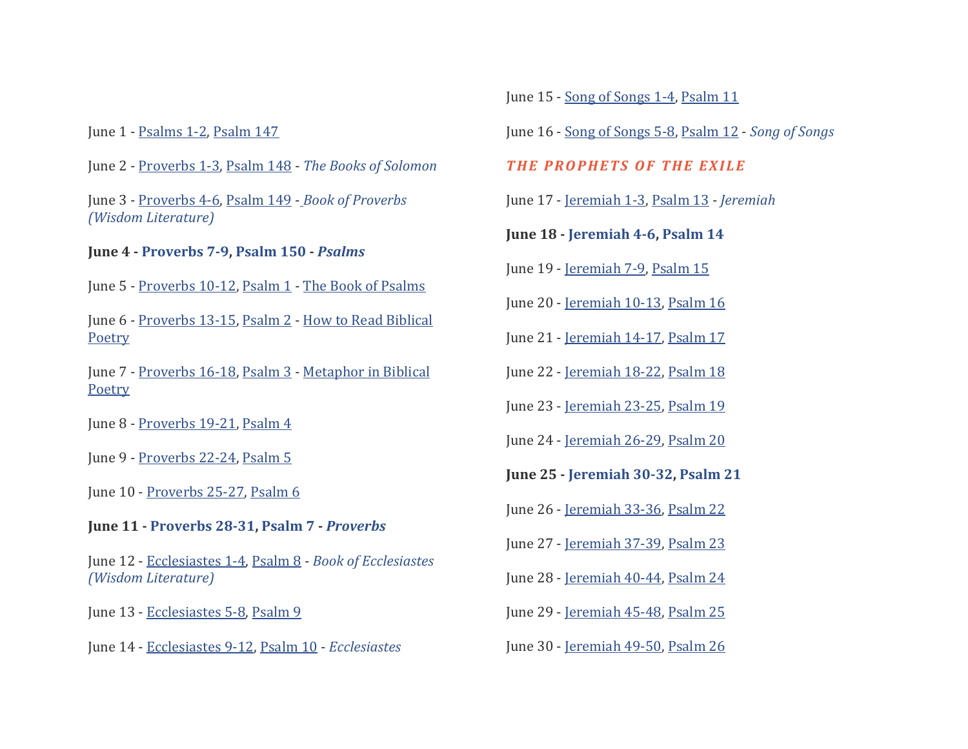June 1 - [Psalms 1-2,](https://bibleproject.com/learn/psalms/#read-psalms_1-2) [Psalm 147](https://bibleproject.com/learn/psalms/#read-psalms_147)

June 2 - [Proverbs 1-3,](https://bibleproject.com/learn/proverbs/#read-proverbs_1-3) [Psalm 148](https://bibleproject.com/learn/psalms/#read-psalms_148) - *[The Books of Solomon](https://bibleproject.com/explore/video/books-solomon/)*

June 3 - [Proverbs 4-6,](https://bibleproject.com/learn/proverbs/#read-proverbs_4-6) [Psalm 149](https://bibleproject.com/learn/psalms/#read-psalms_149) - *[Book of Proverbs](https://bibleproject.com/explore/video/wisdom-proverbs/)  [\(Wisdom Literature\)](https://bibleproject.com/explore/video/wisdom-proverbs/)*

## **June 4 - [Proverbs 7-9,](https://bibleproject.com/learn/proverbs/#read-proverbs_7-9) [Psalm 150](https://bibleproject.com/learn/psalms/#read-psalms_150) -** *[Psalms](https://bibleproject.com/explore/video/psalms/)*

June 5 - [Proverbs 10-12,](https://bibleproject.com/learn/proverbs/#read-proverbs_10-12) [Psalm 1](https://bibleproject.com/learn/psalms/#read-psalms_1) - [The Book of Psalms](https://bibleproject.com/explore/video/book-of-psalms/)

June 6 - [Proverbs 13-15,](https://bibleproject.com/learn/proverbs/#read-proverbs_13-15) [Psalm 2](https://bibleproject.com/learn/psalms/#read-psalms_2) - [How to Read Biblical](https://bibleproject.com/explore/category/how-to-read-biblical-poetry/)  [Poetry](https://bibleproject.com/explore/category/how-to-read-biblical-poetry/)

June 7 - [Proverbs 16-18,](https://bibleproject.com/learn/proverbs/#read-proverbs_16-18) [Psalm 3](https://bibleproject.com/learn/psalms/#read-psalms_3) - [Metaphor in Biblical](https://bibleproject.com/explore/video/metaphor-biblical-poetry/)  **[Poetry](https://bibleproject.com/explore/video/metaphor-biblical-poetry/)** 

June 8 - [Proverbs 19-21,](https://bibleproject.com/learn/proverbs/#read-proverbs_19-21) [Psalm 4](https://bibleproject.com/learn/psalms/#read-psalms_4)

June 9 - [Proverbs 22-24,](https://bibleproject.com/learn/proverbs/#read-proverbs_22-24) [Psalm 5](https://bibleproject.com/learn/psalms/#read-psalms_5)

June 10 - [Proverbs 25-27,](https://bibleproject.com/learn/proverbs/#read-proverbs_25-27) [Psalm 6](https://bibleproject.com/learn/psalms/#read-psalms_6)

**June 11 - [Proverbs 28-31,](https://bibleproject.com/learn/proverbs/#read-proverbs_28-31) [Psalm 7](https://bibleproject.com/learn/psalms/#read-psalms_7) -** *[Proverbs](https://bibleproject.com/explore/video/proverbs/)*

June 12 - [Ecclesiastes 1-4,](https://bibleproject.com/learn/ecclesiastes/#read-ecclesiastes_1-4) [Psalm 8](https://bibleproject.com/learn/psalms/#read-psalms_8) - *[Book of Ecclesiastes](https://bibleproject.com/explore/video/wisdom-ecclesiastes/)  [\(Wisdom Literature\)](https://bibleproject.com/explore/video/wisdom-ecclesiastes/)*

June 13 - [Ecclesiastes 5-8,](https://bibleproject.com/learn/ecclesiastes/#read-ecclesiastes_5-8) [Psalm 9](https://bibleproject.com/learn/psalms/#read-psalms_9)

June 14 - [Ecclesiastes 9-12,](https://bibleproject.com/learn/ecclesiastes/#read-ecclesiastes_9-12) [Psalm 10](https://bibleproject.com/learn/psalms/#read-psalms_10) - *[Ecclesiastes](https://bibleproject.com/explore/video/ecclesiastes/)*

June 15 - [Song of Songs 1-4,](https://bibleproject.com/learn/song-of-songs/#read-song_of_songs_1-4) [Psalm 11](https://bibleproject.com/learn/psalms/#read-psalms_11)

June 16 - [Song of Songs 5-8,](https://bibleproject.com/learn/song-of-songs/#read-song_of_songs_5-8) [Psalm 12](https://bibleproject.com/learn/psalms/#read-psalms_12) - *[Song of Songs](https://bibleproject.com/explore/video/song-of-songs/)*

**THE PROPHETS OF THE EXILE** 

June 17 - [Jeremiah 1-3,](https://bibleproject.com/learn/jeremiah/#read-jeremiah_1-3) [Psalm 13](https://bibleproject.com/learn/psalms/#read-psalms_13) - *[Jeremiah](https://bibleproject.com/explore/video/jeremiah/)*

**June 18 - [Jeremiah 4-6,](https://bibleproject.com/learn/jeremiah/#read-jeremiah_4-6) [Psalm 14](https://bibleproject.com/learn/psalms/#read-psalm_14)**

June 19 - [Jeremiah 7-9,](https://bibleproject.com/learn/jeremiah/#read-jeremiah_7-9) [Psalm 15](https://bibleproject.com/learn/psalms/#read-psalm_15)

June 20 - [Jeremiah 10-13,](https://bibleproject.com/learn/jeremiah/#read-jeremiah_10-13) [Psalm 16](https://bibleproject.com/learn/psalms/#read-psalm_16)

June 21 - [Jeremiah 14-17,](https://bibleproject.com/learn/jeremiah/#read-jeremiah_14-17) [Psalm 17](https://bibleproject.com/learn/psalms/#read-psalm_17)

June 22 - [Jeremiah 18-22,](https://bibleproject.com/learn/jeremiah/#read-jeremiah_18-22) [Psalm 18](https://bibleproject.com/learn/psalms/#read-psalm_18)

June 23 - [Jeremiah 23-25,](https://bibleproject.com/learn/jeremiah/#read-jeremiah_23-25) [Psalm 19](https://bibleproject.com/learn/psalms/#read-psalm_19)

June 24 - [Jeremiah 26-29,](https://bibleproject.com/learn/jeremiah/#read-jeremiah_26-29) [Psalm 20](https://bibleproject.com/learn/psalms/#read-psalm_20)

**June 25 - [Jeremiah 30-32,](https://bibleproject.com/explore/video/jeremiah/#read-jeremiah_30-32) [Psalm 21](https://bibleproject.com/explore/video/psalms/#read-psalm_21)**

June 26 - [Jeremiah 33-36,](https://bibleproject.com/explore/video/jeremiah/#read-jeremiah_33-36) [Psalm 22](https://bibleproject.com/explore/video/psalms/#read-psalm_22)

June 27 - [Jeremiah 37-39,](https://bibleproject.com/explore/video/jeremiah/#read-jeremiah_37-39) [Psalm 23](https://bibleproject.com/explore/video/psalms/#read-psalm_23)

June 28 - [Jeremiah 40-44,](https://bibleproject.com/explore/video/jeremiah/#read-jeremiah_40-44) [Psalm 24](https://bibleproject.com/explore/video/psalms/#read-psalm_24)

June 29 - [Jeremiah 45-48,](https://bibleproject.com/explore/video/jeremiah/#read-jeremiah_45-48) [Psalm 25](https://bibleproject.com/explore/video/psalms/#read-psalm_25)

June 30 - [Jeremiah 49-50,](https://bibleproject.com/explore/video/jeremiah/#read-jeremiah_49-50) [Psalm 26](https://bibleproject.com/explore/video/psalms/#read-psalm_26)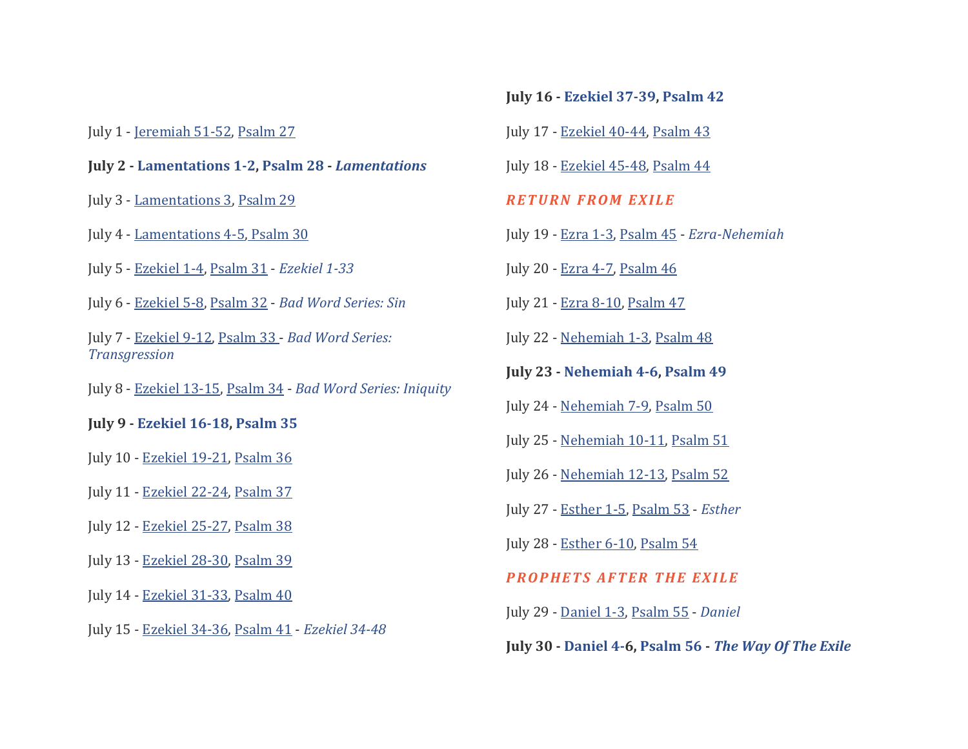#### July 1 - [Jeremiah 51-52,](https://bibleproject.com/explore/video/jeremiah/#read-jeremiah_51-52) [Psalm 27](https://bibleproject.com/explore/video/psalms/#read-psalm_27)

### **July 2 - [Lamentations 1-2,](https://bibleproject.com/explore/video/lamentations/#read-lamentations_1-2) [Psalm 28](https://bibleproject.com/explore/video/psalms/#read-psalm_28) -** *[Lamentations](https://bibleproject.com/explore/video/lamentations/)*

July 3 - [Lamentations 3,](https://bibleproject.com/explore/video/lamentations/#read-lamentations_3) [Psalm 29](https://bibleproject.com/explore/video/psalms/#read-psalm_29)

July 4 - [Lamentations 4-5,](https://bibleproject.com/explore/video/lamentations/#read-lamentations_4-5) [Psalm 30](https://bibleproject.com/explore/video/psalms/#read-psalm_30)

- July 5 [Ezekiel 1-4,](https://bibleproject.com/explore/video/ezekiel-1-33/#read-ezekiel_1-4) [Psalm 31](https://bibleproject.com/explore/video/psalms/#read-psalm_31) *[Ezekiel 1-33](https://bibleproject.com/explore/video/ezekiel-1-33/)*
- July 6 [Ezekiel 5-8,](https://bibleproject.com/explore/video/ezekiel-1-33/#read-ezekiel_5-8) [Psalm 32](https://bibleproject.com/explore/video/psalms/#read-psalm_32) *[Bad Word Series: Sin](https://bibleproject.com/explore/video/khata-sin/)*

July 7 - [Ezekiel 9-12,](https://bibleproject.com/explore/video/ezekiel-1-33/#read-ezekiel_9-12) [Psalm 33 -](https://bibleproject.com/explore/video/psalms/#read-psalm_33) *[Bad Word Series:](https://bibleproject.com/explore/video/pesha-transgression/)  [Transgression](https://bibleproject.com/explore/video/pesha-transgression/)*

July 8 - [Ezekiel 13-15,](https://bibleproject.com/explore/video/ezekiel-1-33/#read-ezekiel_13-15) [Psalm 34](https://bibleproject.com/explore/video/psalms/#read-psalm_34) - *[Bad Word Series: Iniquity](https://bibleproject.com/explore/video/avon-iniquity/)*

**July 9 - [Ezekiel 16-18,](https://bibleproject.com/explore/video/ezekiel-1-33/#read-ezekiel_16-18) [Psalm 35](https://bibleproject.com/explore/video/psalms/#read-psalm_35)**

July 10 - [Ezekiel 19-21,](https://bibleproject.com/explore/video/ezekiel-1-33/#read-ezekiel_19-21) [Psalm 36](https://bibleproject.com/explore/video/psalms/#read-psalm_36)

July 11 - [Ezekiel 22-24,](https://bibleproject.com/explore/video/ezekiel-1-33/#read-ezekiel_22-24) [Psalm 37](https://bibleproject.com/explore/video/psalms/#read-psalm_37)

July 12 - [Ezekiel 25-27,](https://bibleproject.com/explore/video/ezekiel-1-33/#read-ezekiel_25-27) [Psalm 38](https://bibleproject.com/explore/video/psalms/#read-psalm_38)

July 13 - [Ezekiel 28-30,](https://bibleproject.com/explore/video/ezekiel-1-33/#read-ezekiel_28-30) [Psalm 39](https://bibleproject.com/explore/video/psalms/#read-psalm_39)

July 14 - [Ezekiel 31-33,](https://bibleproject.com/explore/video/ezekiel-1-33/#read-ezekiel_31-33) [Psalm 40](https://bibleproject.com/explore/video/psalms/#read-psalm_40)

July 15 - [Ezekiel 34-36,](https://bibleproject.com/explore/video/ezekiel-1-33/#read-ezekiel_34-36) [Psalm 41](https://bibleproject.com/explore/video/psalms/#read-psalm_41) - *[Ezekiel 34-48](https://bibleproject.com/explore/video/ezekiel-34-48/)*

**July 16 - [Ezekiel 37-39,](https://bibleproject.com/explore/video/ezekiel-1-33/#read-ezekiel_37-39) [Psalm 42](https://bibleproject.com/explore/video/psalms/#read-psalm_42)**

July 17 - [Ezekiel 40-44,](https://bibleproject.com/explore/video/ezekiel-1-33/#read-ezekiel_40-44) [Psalm 43](https://bibleproject.com/explore/video/psalms/#read-psalm_43)

July 18 - [Ezekiel 45-48,](https://bibleproject.com/explore/video/ezekiel-1-33/#read-ezekiel_45-48) [Psalm 44](https://bibleproject.com/explore/video/psalms/#read-psalm_44)

## *R E T U R N F R O M E X I L E*

- July 19 [Ezra 1-3,](https://bibleproject.com/learn/ezra/#read-ezra_1-3) [Psalm 45](https://bibleproject.com/explore/video/psalms/#read-psalm_45) *[Ezra-Nehemiah](https://bibleproject.com/explore/video/ezra-nehemiah/)*
- July 20 [Ezra 4-7,](https://bibleproject.com/learn/ezra/#read-ezra_4-7) [Psalm 46](https://bibleproject.com/explore/video/psalms/#read-psalm_46)
- July 21 [Ezra 8-10,](https://bibleproject.com/learn/ezra/#read-ezra_8-10) [Psalm 47](https://bibleproject.com/explore/video/psalms/#read-psalm_47)
- July 22 [Nehemiah 1-3,](https://bibleproject.com/learn/nehemiah/#read-nehemiah_1-3) [Psalm 48](https://bibleproject.com/explore/video/psalms/#read-psalm_48)
- **July 23 - [Nehemiah 4-6,](https://bibleproject.com/learn/nehemiah/#read-nehemiah_4-6) [Psalm 49](https://bibleproject.com/explore/video/psalms/#read-psalm_49)**
- July 24 [Nehemiah 7-9,](https://bibleproject.com/learn/nehemiah/#read-nehemiah_7-9) [Psalm 50](https://bibleproject.com/explore/video/psalms/#read-psalm_50)
- July 25 [Nehemiah 10-11,](https://bibleproject.com/learn/nehemiah/#read-nehemiah_10-11) [Psalm 51](https://bibleproject.com/explore/video/psalms/#read-psalm_51)
- July 26 [Nehemiah 12-13,](https://bibleproject.com/learn/nehemiah/#read-nehemiah_12-13) [Psalm 52](https://bibleproject.com/explore/video/psalms/#read-psalm_52)
- July 27 [Esther 1-5,](https://bibleproject.com/explore/video/esther/#read-esther_1-5) [Psalm 53](https://bibleproject.com/explore/video/psalms/#read-psalm_53) *[Esther](https://bibleproject.com/explore/video/esther/)*

July 28 - [Esther 6-10,](https://bibleproject.com/explore/video/esther/#read-esther_6-10) [Psalm 54](https://bibleproject.com/explore/video/psalms/#read-psalm_54)

### **PROPHETS AFTER THE EXILE**

July 29 - [Daniel 1-3,](https://bibleproject.com/explore/video/daniel/#read-daniel_1-3) [Psalm 55](https://bibleproject.com/explore/video/psalms/#read-psalm_55) - *[Daniel](https://bibleproject.com/explore/video/daniel/)* 

**July 30 - [Daniel 4-6](https://bibleproject.com/explore/video/daniel/#read-daniel_4-6), [Psalm 56](https://bibleproject.com/explore/video/psalms/#read-psalm_56) -** *[The Way Of The Exile](https://bibleproject.com/explore/video/the-way-of-the-exile/)*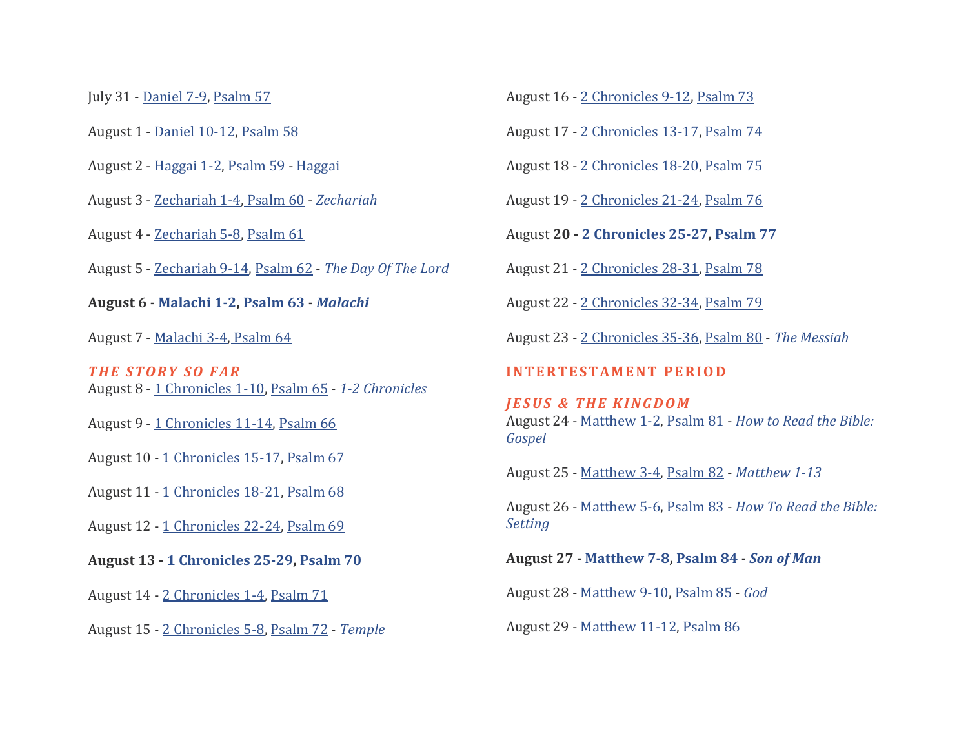July 31 - [Daniel 7-9,](https://bibleproject.com/explore/video/daniel/#read-daniel_7-9) [Psalm 57](https://bibleproject.com/explore/video/psalms/#read-psalm_57)

August 1 - [Daniel 10-12,](https://bibleproject.com/explore/video/daniel/#read-daniel_10-12) [Psalm 58](https://bibleproject.com/explore/video/psalms/#read-psalm_58)

August 2 - [Haggai 1-2,](https://bibleproject.com/learn/haggai/#read-haggai_1-2) [Psalm 59](https://bibleproject.com/explore/video/psalms/#read-psalm_59) - [Haggai](https://bibleproject.com/explore/video/haggai/)

August 3 - [Zechariah 1-4,](https://bibleproject.com/learn/zechariah/#read-zechariah_1-4) [Psalm 60](https://bibleproject.com/explore/video/psalms/#read-psalm_60) - *[Zechariah](https://bibleproject.com/explore/video/zechariah/)*

August 4 - [Zechariah 5-8,](https://bibleproject.com/learn/zechariah/#read-zechariah_5-8) [Psalm 61](https://bibleproject.com/explore/video/psalms/#read-psalm_61)

August 5 - [Zechariah 9-14,](https://bibleproject.com/learn/zechariah/#read-zechariah_9-14) [Psalm 62](https://bibleproject.com/explore/video/psalms/#read-psalm_62) - *[The Day Of The Lord](https://bibleproject.com/explore/video/day-of-the-lord/)*

**August 6 - [Malachi 1-2,](https://bibleproject.com/learn/malachi/#read-malachi_1-2) [Psalm 63](https://bibleproject.com/explore/video/psalms/#read-psalm_63) -** *[Malachi](https://bibleproject.com/explore/video/malachi/)*

August 7 - [Malachi 3-4,](https://bibleproject.com/learn/malachi/#read-malachi_3-4) [Psalm 64](https://bibleproject.com/explore/video/psalms/#read-psalm_64)

*T H E S T O R Y S O F A R* August 8 - [1 Chronicles 1-10,](https://bibleproject.com/explore/video/chronicles/#read-1_chronicles_1-10) [Psalm 65](https://bibleproject.com/explore/video/psalms/#read-psalm_65) - *[1-2 Chronicles](https://bibleproject.com/explore/video/chronicles/)*

August 9 - [1 Chronicles 11-14,](https://bibleproject.com/explore/video/chronicles/#read-1_chronicles_11-14) [Psalm 66](https://bibleproject.com/explore/video/psalms/#read-psalm_66)

August 10 - [1 Chronicles 15-17,](https://bibleproject.com/explore/video/chronicles/#read-1_chronicles_15-17) [Psalm 67](https://bibleproject.com/explore/video/psalms/#read-psalm_67)

August 11 - [1 Chronicles 18-21,](https://bibleproject.com/explore/video/chronicles/#read-1_chronicles_18-21) [Psalm 68](https://bibleproject.com/explore/video/psalms/#read-psalm_68)

August 12 - [1 Chronicles 22-24,](https://bibleproject.com/explore/video/chronicles/#read-1_chronicles_22-24) [Psalm 69](https://bibleproject.com/explore/video/psalms/#read-psalm_69)

**August 13 - [1 Chronicles 25-29,](https://bibleproject.com/explore/video/chronicles/#read-1_chronicles_25-29) [Psalm 70](https://bibleproject.com/explore/video/psalms/#read-psalm_70)**

August 14 - [2 Chronicles 1-4,](https://bibleproject.com/explore/video/chronicles/#read-2_chronicles_1-4) [Psalm 71](https://bibleproject.com/explore/video/psalms/#read-psalm_71)

August 15 - [2 Chronicles 5-8,](https://bibleproject.com/explore/video/chronicles/#read-2_chronicles_5-8) [Psalm 72](https://bibleproject.com/explore/video/psalms/#read-psalm_72) - *[Temple](https://bibleproject.com/explore/video/temple/)*

August 16 - [2 Chronicles 9-12,](https://bibleproject.com/explore/video/chronicles/#read-2_chronicles_9-12) [Psalm 73](https://bibleproject.com/explore/video/psalms/#read-psalm_73)

August 17 - [2 Chronicles 13-17,](https://bibleproject.com/explore/video/chronicles/#read-2_chronicles_13-17) [Psalm 74](https://bibleproject.com/explore/video/psalms/#read-psalm_74)

August 18 - [2 Chronicles 18-20,](https://bibleproject.com/explore/video/chronicles/#read-2_chronicles_18-20) [Psalm 75](https://bibleproject.com/explore/video/psalms/#read-psalm_75)

August 19 - [2 Chronicles 21-24,](https://bibleproject.com/explore/video/chronicles/#read-2_chronicles_21-24) [Psalm 76](https://bibleproject.com/explore/video/psalms/#read-psalm_76)

August **20 - [2 Chronicles 25-27,](https://bibleproject.com/explore/video/chronicles/#read-2_chronicles_25-27) [Psalm 77](https://bibleproject.com/explore/video/psalms/#read-psalm_77)**

August 21 - [2 Chronicles 28-31,](https://bibleproject.com/explore/video/chronicles/#read-2_chronicles_28-31) [Psalm 78](https://bibleproject.com/explore/video/psalms/#read-psalm_78)

August 22 - [2 Chronicles 32-34,](https://bibleproject.com/explore/video/chronicles/#read-2_chronicles_32-34) [Psalm 79](https://bibleproject.com/explore/video/psalms/#read-psalm_79)

August 23 - [2 Chronicles 35-36,](https://bibleproject.com/explore/video/chronicles/#read-2_chronicles_35-36) [Psalm 80](https://bibleproject.com/explore/video/psalms/#read-psalm_80) - *[The Messiah](https://bibleproject.com/explore/video/messiah/)*

#### **INTERTESTAMENT PERIOD**

*JESUS & THE KINGDOM* August 24 - [Matthew 1-2,](https://bibleproject.com/explore/video/matthew-1-13/#read-matthew_1-2) [Psalm 81](https://bibleproject.com/explore/video/psalms/#read-psalm_81) - *[How to Read the Bible:](https://bibleproject.com/explore/video/how-to-read-gospel/)  [Gospel](https://bibleproject.com/explore/video/how-to-read-gospel/)*

August 25 - [Matthew 3-4,](https://bibleproject.com/explore/video/matthew-1-13/#read-matthew_3-4) [Psalm 82](https://bibleproject.com/explore/video/psalms/#read-psalm_82) - *[Matthew 1-13](https://bibleproject.com/explore/video/matthew-1-13/)*

August 26 - [Matthew 5-6,](https://bibleproject.com/explore/video/matthew-1-13/#read-matthew_5-6) [Psalm 83](https://bibleproject.com/explore/video/psalms/#read-psalm_83) - *[How To Read the Bible:](https://bibleproject.com/explore/video/setting-biblical-narrative/)  [Setting](https://bibleproject.com/explore/video/setting-biblical-narrative/)*

**August 27 - [Matthew 7-8,](https://bibleproject.com/explore/video/matthew-1-13/#read-matthew_7-8) [Psalm 84](https://bibleproject.com/explore/video/psalms/#read-psalm_84) -** *[Son of Man](https://bibleproject.com/explore/video/son-of-man/)*

August 28 - [Matthew 9-10,](https://bibleproject.com/explore/video/matthew-1-13/#read-matthew_9-10) [Psalm 85](https://bibleproject.com/explore/video/psalms/#read-psalm_85) - *[God](https://bibleproject.com/explore/video/god-video/)*

August 29 - [Matthew 11-12,](https://bibleproject.com/explore/video/matthew-1-13/#read-matthew_11-12) [Psalm 86](https://bibleproject.com/explore/video/psalms/#read-psalm_86)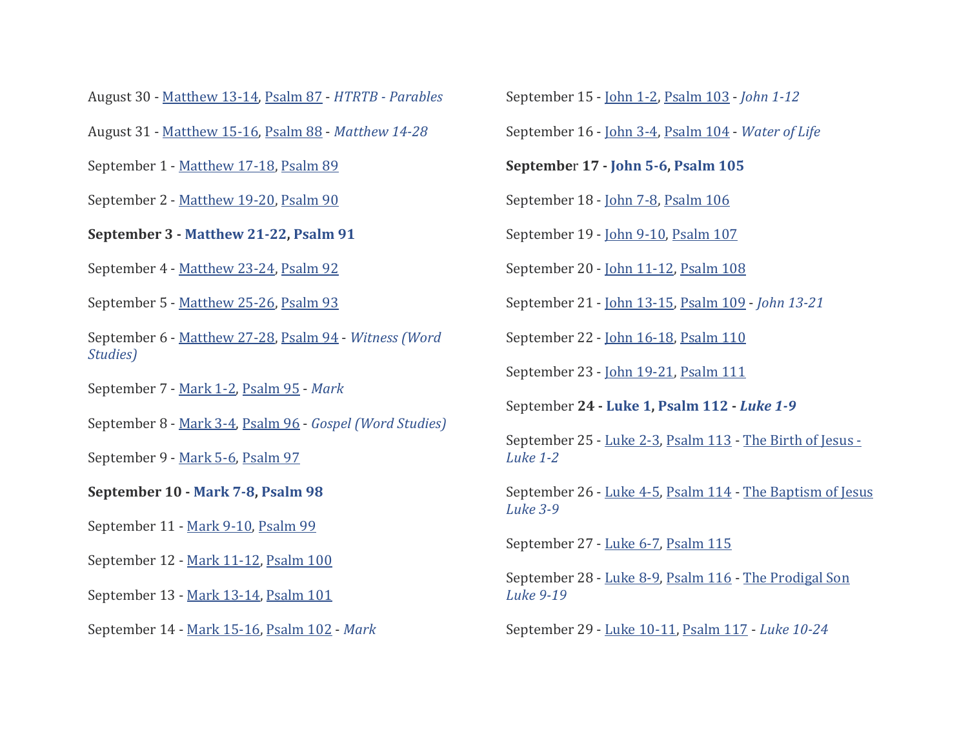August 30 - [Matthew 13-14,](https://bibleproject.com/explore/video/matthew-1-13/#read-matthew_13-14) [Psalm 87](https://bibleproject.com/explore/video/psalms/#read-psalm_87) - *HTRTB - [Parables](https://bibleproject.com/explore/video/how-to-read-the-bible-the-parables-of-jesus/)*

August 31 - [Matthew 15-16,](https://bibleproject.com/explore/video/matthew-1-13/#read-matthew_15-16) [Psalm 88](https://bibleproject.com/explore/video/psalms/#read-psalm_88) - *[Matthew 14-28](https://bibleproject.com/explore/video/matthew-14-28/)*

September 1 - [Matthew 17-18,](https://bibleproject.com/explore/video/matthew-1-13/#read-matthew_17-18) [Psalm 89](https://bibleproject.com/explore/video/psalms/#read-psalm_89)

September 2 - [Matthew 19-20,](https://bibleproject.com/explore/video/matthew-1-13/#read-matthew_19-20) [Psalm 90](https://bibleproject.com/explore/video/psalms/#read-psalm_90)

**September 3 - [Matthew 21-22,](https://bibleproject.com/explore/video/matthew-1-13/#read-matthew_21-22) [Psalm 91](https://bibleproject.com/explore/video/psalms/#read-psalms_91)**

September 4 - [Matthew 23-24,](https://bibleproject.com/explore/video/matthew-1-13/#read-matthew_23-24) [Psalm 92](https://bibleproject.com/explore/video/psalms/#read-psalms_92)

September 5 - [Matthew 25-26,](https://bibleproject.com/explore/video/matthew-1-13/#read-matthew_25-26) [Psalm 93](https://bibleproject.com/explore/video/psalms/#read-psalms_93)

September 6 - [Matthew 27-28,](https://bibleproject.com/explore/video/matthew-1-13/#read-matthew_27-28) [Psalm 94](https://bibleproject.com/explore/video/psalms/#read-psalms_94) - *[Witness \(Word](https://bibleproject.com/explore/video/martus-witness/)  [Studies\)](https://bibleproject.com/explore/video/martus-witness/)*

September 7 - [Mark 1-2,](https://bibleproject.com/explore/video/mark/#read-mark_1-2) [Psalm 95](https://bibleproject.com/explore/video/psalms/#read-psalms_95) - *[Mark](https://bibleproject.com/explore/video/gospel-mark/)*

September 8 - [Mark 3-4,](https://bibleproject.com/explore/video/mark/#read-mark_3-4) [Psalm 96](https://bibleproject.com/explore/video/psalms/#read-psalms_96) - *[Gospel \(Word Studies\)](https://bibleproject.com/explore/video/euangelion-gospel/)*

September 9 - [Mark 5-6,](https://bibleproject.com/explore/video/mark/#read-mark_5-6) [Psalm 97](https://bibleproject.com/explore/video/psalms/#read-psalms_97)

**September 10 - [Mark 7-8,](https://bibleproject.com/explore/video/mark/#read-mark_7-8) [Psalm 98](https://bibleproject.com/explore/video/psalms/#read-psalms_98)**

September 11 - [Mark 9-10,](https://bibleproject.com/explore/video/mark/#read-mark_9-10) [Psalm 99](https://bibleproject.com/explore/video/psalms/#read-psalms_99)

September 12 - [Mark 11-12,](https://bibleproject.com/explore/video/mark/#read-mark_11-12) [Psalm 100](https://bibleproject.com/explore/video/psalms/#read-psalms_100)

September 13 - [Mark 13-14,](https://bibleproject.com/explore/video/mark/#read-mark_13-14) [Psalm 101](https://bibleproject.com/explore/video/psalms/#read-psalms_101)

September 14 - [Mark 15-16,](https://bibleproject.com/explore/video/mark/#read-mark_15-16) [Psalm 102](https://bibleproject.com/explore/video/psalms/#read-psalms_102) - *[Mark](https://bibleproject.com/explore/video/mark/)*

September 15 - [John 1-2,](https://bibleproject.com/explore/video/john-1-12/#read-john_1-2) [Psalm 103](https://bibleproject.com/explore/video/psalms/#read-psalms_103) - *[John 1-12](https://bibleproject.com/explore/video/john-1-12/)*

September 16 - [John 3-4,](https://bibleproject.com/explore/video/john-1-12/#read-john_3-4) [Psalm 104](https://bibleproject.com/explore/video/psalms/#read-psalms_104) - *[Water of Life](https://bibleproject.com/explore/video/water-of-life/)*

**Septembe**r **17 - [John 5-6,](https://bibleproject.com/explore/video/john-1-12/#read-john_5-6) [Psalm 105](https://bibleproject.com/explore/video/psalms/#read-psalms_105)**

September 18 - [John 7-8,](https://bibleproject.com/explore/video/john-1-12/#read-john_7-8) [Psalm 106](https://bibleproject.com/explore/video/psalms/#read-psalms_106)

September 19 - [John 9-10,](https://bibleproject.com/explore/video/john-1-12/#read-john_9-10) [Psalm 107](https://bibleproject.com/explore/video/psalms/#read-psalms_107)

September 20 - [John 11-12,](https://bibleproject.com/explore/video/john-1-12/#read-john_11-12) [Psalm 108](https://bibleproject.com/explore/video/psalms/#read-psalms_108)

September 21 - [John 13-15,](https://bibleproject.com/explore/video/john-13-21/#read-john_13-15) [Psalm 109](https://bibleproject.com/explore/video/psalms/#read-psalms_109) - *[John 13-21](https://bibleproject.com/explore/video/john-13-21/)*

September 22 - [John 16-18,](https://bibleproject.com/explore/video/john-13-21/#read-john_16-18) [Psalm 110](https://bibleproject.com/explore/video/psalms/#read-psalms_110)

September 23 - [John 19-21,](https://bibleproject.com/explore/video/john-13-21/#read-john_19-21) [Psalm 111](https://bibleproject.com/explore/video/psalms/#read-psalms_111)

September **24 - [Luke 1,](https://bibleproject.com/explore/video/luke-1-9/#read-luke_1) [Psalm 112](https://bibleproject.com/explore/video/psalms/#read-psalms_112) -** *[Luke 1-9](https://bibleproject.com/explore/video/luke-1-9/)*

September 25 - [Luke 2-3,](https://bibleproject.com/explore/video/luke-1-9/#read-luke_2-3) [Psalm 113](https://bibleproject.com/explore/video/psalms/#read-psalms_113) - [The Birth](https://bibleproject.com/explore/video/gospel-luke-1/) of Jesus - *[Luke 1-2](https://bibleproject.com/explore/video/gospel-luke-1/)*

September 26 - [Luke 4-5,](https://bibleproject.com/explore/video/luke-1-9/#read-luke_4-5) [Psalm 114](https://bibleproject.com/explore/video/psalms/#read-psalms_114) - The Baptism of Jesus *[Luke 3-9](https://bibleproject.com/explore/video/gospel-luke-2/)*

September 27 - [Luke 6-7,](https://bibleproject.com/explore/video/luke-1-9/#read-luke_6-7) [Psalm 115](https://bibleproject.com/explore/video/psalms/#read-psalms_115)

September 28 - [Luke 8-9,](https://bibleproject.com/explore/video/luke-1-9/#read-luke_8-9) [Psalm 116](https://bibleproject.com/explore/video/psalms/#read-psalms_116) - [The Prodigal Son](https://bibleproject.com/explore/video/gospel-luke-3/)  *[Luke 9-19](https://bibleproject.com/explore/video/gospel-luke-3/)*

September 29 - [Luke 10-11,](https://bibleproject.com/explore/video/luke-1-9/#read-luke_10-11) [Psalm 117](https://bibleproject.com/explore/video/psalms/#read-psalms_117) - *[Luke 10-24](https://bibleproject.com/explore/video/luke-10-24/)*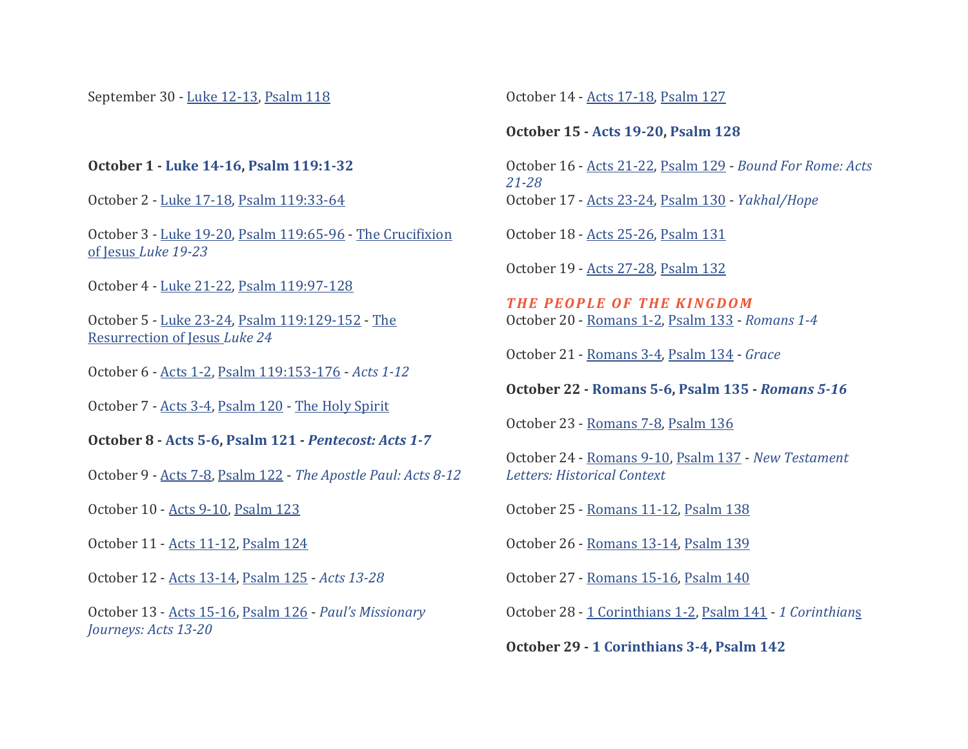September 30 - [Luke 12-13,](https://bibleproject.com/explore/video/luke-1-9/#read-luke_12-13) [Psalm 118](https://bibleproject.com/explore/video/psalms/#read-psalms_118)

## **October 1 - [Luke 14-16,](https://bibleproject.com/explore/video/luke-1-9/#read-luke_14-16) [Psalm 119:1-32](https://bibleproject.com/explore/video/psalms/#read-psalms_119:1-32)**

October 2 - [Luke 17-18,](https://bibleproject.com/explore/video/luke-1-9/#read-luke_17-18) [Psalm 119:33-64](https://bibleproject.com/explore/video/psalms/#read-psalms_119:33-64)

October 3 - [Luke 19-20,](https://bibleproject.com/explore/video/luke-1-9/#read-luke_19-20) [Psalm 119:65-96](https://bibleproject.com/explore/video/psalms/#read-psalms_119:65-96) - [The Crucifixion](https://bibleproject.com/explore/video/gospel-luke-4/)  of Jesus *[Luke 19-23](https://bibleproject.com/explore/video/gospel-luke-4/)*

October 4 - [Luke 21-22,](https://bibleproject.com/explore/video/luke-1-9/#read-luke_21-22) [Psalm 119:97-128](https://bibleproject.com/explore/video/psalms/#read-psalms_119:97-128)

October 5 - [Luke 23-24,](https://bibleproject.com/explore/video/luke-1-9/#read-luke_23-24) [Psalm 119:129-152](https://bibleproject.com/explore/video/psalms/#read-psalms_119:129-152) - [The](https://bibleproject.com/explore/video/gospel-luke-5/)  [Resurrection of Jesus](https://bibleproject.com/explore/video/gospel-luke-5/) *Luke 24*

October 6 - [Acts 1-2,](https://bibleproject.com/explore/video/acts-1-12/#read-acts_1-2) [Psalm 119:153-176](https://bibleproject.com/explore/video/psalms/#read-psalms_119:153-176) - *[Acts 1-12](https://bibleproject.com/explore/video/acts-1-12/)*

October 7 - [Acts 3-4,](https://bibleproject.com/explore/video/acts-1-12/#read-acts_3-4) [Psalm 120](https://bibleproject.com/explore/video/psalms/#read-psalms_120) - [The Holy Spirit](https://bibleproject.com/explore/video/holy-spirit/)

**October 8 - [Acts 5-6,](https://bibleproject.com/explore/video/acts-1-12/#read-acts_5-6) [Psalm 121](https://bibleproject.com/explore/video/psalms/#read-psalms_121) -** *[Pentecost: Acts 1-7](https://bibleproject.com/explore/video/gospel-acts-1/)*

October 9 - [Acts 7-8,](https://bibleproject.com/explore/video/acts-1-12/#read-acts_7-8) [Psalm 122](https://bibleproject.com/explore/video/psalms/#read-psalms_122) - *[The Apostle Paul: Acts 8-12](https://bibleproject.com/explore/video/gospel-acts-2/)*

October 10 - [Acts 9-10,](https://bibleproject.com/explore/video/acts-1-12/#read-acts_9-10) [Psalm 123](https://bibleproject.com/explore/video/psalms/#read-psalms_123)

October 11 - [Acts 11-12,](https://bibleproject.com/explore/video/acts-1-12/#read-acts_11-12) [Psalm 124](https://bibleproject.com/explore/video/psalms/#read-psalms_124)

October 12 - [Acts 13-14,](https://bibleproject.com/explore/video/acts-1-12/#read-acts_13-14) [Psalm 125](https://bibleproject.com/explore/video/psalms/#read-psalms_125) - *[Acts 13-28](https://bibleproject.com/explore/video/acts-13-28/)*

October 13 - [Acts 15-16,](https://bibleproject.com/explore/video/acts-1-12/#read-acts_15-16) [Psalm 126](https://bibleproject.com/explore/video/psalms/#read-psalms_126) - *[Paul's Missionary](https://bibleproject.com/explore/video/gospel-acts-3/)  [Journeys: Acts 13-20](https://bibleproject.com/explore/video/gospel-acts-3/)*

October 14 - [Acts 17-18,](https://bibleproject.com/explore/video/acts-1-12/#read-acts_17-18) [Psalm 127](https://bibleproject.com/explore/video/psalms/#read-psalms_127)

#### **October 15 - [Acts 19-20,](https://bibleproject.com/explore/video/acts-1-12/#read-acts_19-20) [Psalm 128](https://bibleproject.com/explore/video/psalms/#read-psalms_128)**

October 16 - [Acts 21-22,](https://bibleproject.com/explore/video/acts-1-12/#read-acts_21-22) [Psalm 129](https://bibleproject.com/explore/video/psalms/#read-psalms_129) - *Bound For [Rome: Acts](https://bibleproject.com/explore/video/gospel-acts-4/)  [21-28](https://bibleproject.com/explore/video/gospel-acts-4/)* October 17 - [Acts 23-24,](https://bibleproject.com/explore/video/acts-1-12/#read-acts_23-24) [Psalm 130](https://bibleproject.com/explore/video/psalms/#read-psalms_130) - *[Yakhal/Hope](https://bibleproject.com/explore/video/yakhal-hope/)*

October 18 - [Acts 25-26,](https://bibleproject.com/explore/video/acts-1-12/#read-acts_25-26) [Psalm 131](https://bibleproject.com/explore/video/psalms/#read-psalms_131)

October 19 - [Acts 27-28,](https://bibleproject.com/explore/video/acts-1-12/#read-acts_27-28) [Psalm 132](https://bibleproject.com/explore/video/psalms/#read-psalms_132)

*T H E P E O P L E O F T H E K I N G D O M* October 20 - [Romans 1-2,](https://bibleproject.com/explore/video/romans-1-4/#read-romans_1-2) [Psalm 133](https://bibleproject.com/explore/video/psalms/#read-psalms_133) - *[Romans 1-4](https://bibleproject.com/explore/video/romans-1-4/)*

October 21 - [Romans 3-4,](https://bibleproject.com/explore/video/romans-1-4/#read-romans_3-4) [Psalm 134](https://bibleproject.com/explore/video/psalms/#read-psalms_134) - *[Grace](https://bibleproject.com/explore/video/character-of-god-grace/)*

**October 22 - [Romans 5-6,](https://bibleproject.com/explore/video/romans-1-4/#read-romans_5-6) [Psalm 135](https://bibleproject.com/explore/video/psalms/#read-psalms_135) -** *[Romans 5-16](https://bibleproject.com/explore/video/romans-5-16/)*

October 23 - [Romans 7-8,](https://bibleproject.com/explore/video/romans-1-4/#read-romans_7-8) [Psalm 136](https://bibleproject.com/explore/video/psalms/#read-psalms_136)

October 24 - [Romans 9-10,](https://bibleproject.com/explore/video/romans-1-4/#read-romans_9-10) [Psalm 137](https://bibleproject.com/explore/video/psalms/#read-psalms_137) - *[New Testament](https://bibleproject.com/explore/video/new-testament-letters-epistles-historical-context/)  [Letters: Historical Context](https://bibleproject.com/explore/video/new-testament-letters-epistles-historical-context/)*

October 25 - [Romans 11-12,](https://bibleproject.com/explore/video/romans-1-4/#read-romans_11-12) [Psalm 138](https://bibleproject.com/explore/video/psalms/#read-psalms_138)

October 26 - [Romans 13-14,](https://bibleproject.com/explore/video/romans-1-4/#read-romans_13-14) [Psalm 139](https://bibleproject.com/explore/video/psalms/#read-psalms_139)

October 27 - [Romans 15-16,](https://bibleproject.com/explore/video/romans-1-4/#read-romans_15-16) [Psalm 140](https://bibleproject.com/explore/video/psalms/#read-psalms_140)

October 28 - [1 Corinthians 1-2,](https://bibleproject.com/explore/video/1-corinthians/#read-1_corinthians_1-2) [Psalm 141](https://bibleproject.com/explore/video/psalms/#read-psalms_141) - *[1 Corinthian](https://bibleproject.com/explore/video/1-corinthians/)*s

**October 29 - [1 Corinthians 3-4,](https://bibleproject.com/explore/video/1-corinthians/#read-1_corinthians_3-4) [Psalm 142](https://bibleproject.com/explore/video/psalms/#read-psalms_142)**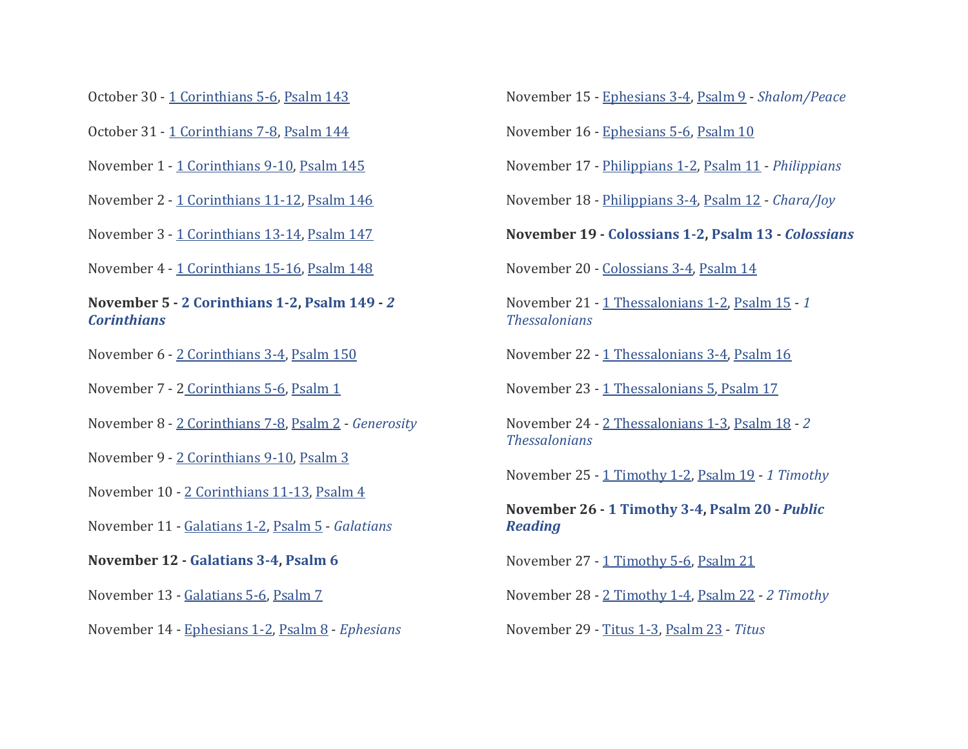- October 30 [1 Corinthians 5-6,](https://bibleproject.com/explore/video/1-corinthians/#read-1_corinthians_5-6) [Psalm 143](https://bibleproject.com/explore/video/psalms/#read-psalms_143)
- October 31 [1 Corinthians 7-8,](https://bibleproject.com/explore/video/1-corinthians/#read-1_corinthians_7-8) [Psalm 144](https://bibleproject.com/explore/video/psalms/#read-psalms_144)
- November 1 [1 Corinthians 9-10,](https://bibleproject.com/explore/video/1-corinthians/#read-1_corinthians_9-10) [Psalm 145](https://bibleproject.com/explore/video/psalms/#read-psalms_145)
- November 2 [1 Corinthians 11-12,](https://bibleproject.com/explore/video/1-corinthians/#read-1_corinthians_11-12) [Psalm 146](https://bibleproject.com/explore/video/psalms/#read-psalms_146)
- November 3 [1 Corinthians 13-14,](https://bibleproject.com/explore/video/1-corinthians/#read-1_corinthians_13-14) [Psalm 147](https://bibleproject.com/explore/video/psalms/#read-psalms_147)
- November 4 [1 Corinthians 15-16,](https://bibleproject.com/explore/video/1-corinthians/#read-1_corinthians_15-16) [Psalm 148](https://bibleproject.com/explore/video/psalms/#read-psalms_148)
- **November 5 - [2 Corinthians 1-2,](https://bibleproject.com/explore/video/2-corinthians/#read-2_corinthians_1-2) [Psalm 149](https://bibleproject.com/explore/video/psalms/#read-psalms_149) -** *[2](https://bibleproject.com/explore/video/2-corinthians/)  [Corinthians](https://bibleproject.com/explore/video/2-corinthians/)*
- November 6 [2 Corinthians 3-4,](https://bibleproject.com/explore/video/2-corinthians/#read-2_corinthians_3-4) [Psalm 150](https://bibleproject.com/explore/video/psalms/#read-psalms_150)
- November 7 2 [Corinthians 5-6,](https://bibleproject.com/explore/video/2-corinthians/#read-2_corinthians_5-6) [Psalm 1](https://bibleproject.com/explore/video/psalms/#read-psalms_1)
- November 8 [2 Corinthians 7-8,](https://bibleproject.com/explore/video/2-corinthians/#read-2_corinthians_7-8) [Psalm 2](https://bibleproject.com/explore/video/psalms/#read-psalms_2) *[Generosity](https://bibleproject.com/explore/video/generosity/)*
- November 9 [2 Corinthians 9-10,](https://bibleproject.com/explore/video/2-corinthians/#read-2_corinthians_9-10) [Psalm 3](https://bibleproject.com/explore/video/psalms/#read-psalms_3)
- November 10 [2 Corinthians 11-13,](https://bibleproject.com/explore/video/2-corinthians/#read-2_corinthians_11-13) [Psalm 4](https://bibleproject.com/explore/video/psalms/#read-psalms_4)
- November 11 [Galatians 1-2,](https://bibleproject.com/explore/video/galatians/#read-galatians_1-2) [Psalm 5](https://bibleproject.com/explore/video/psalms/#read-psalms_5) *[Galatians](https://bibleproject.com/explore/video/galatians/)*
- **November 12 - [Galatians 3-4,](https://bibleproject.com/explore/video/galatians/#read-galatians_3-4) [Psalm 6](https://bibleproject.com/explore/video/psalms/#read-psalms_6)**
- November 13 [Galatians 5-6,](https://bibleproject.com/explore/video/galatians/#read-galatians_5-6) [Psalm 7](https://bibleproject.com/explore/video/psalms/#read-psalms_7)
- November 14 [Ephesians 1-2,](https://bibleproject.com/explore/video/ephesians/#read-ephesians_1-2) [Psalm 8](https://bibleproject.com/explore/video/psalms/#read-psalms_8) *[Ephesians](https://bibleproject.com/explore/video/ephesians/)*

November 15 - [Ephesians 3-4,](https://bibleproject.com/explore/video/ephesians/#read-ephesians_3-4) [Psalm 9](https://bibleproject.com/explore/video/psalms/#read-psalms_9) - *[Shalom/Peace](https://bibleproject.com/explore/video/shalom-peace/)*

November 16 - [Ephesians 5-6,](https://bibleproject.com/explore/video/ephesians/#read-ephesians_5-6) [Psalm 10](https://bibleproject.com/explore/video/psalms/#read-psalms_10)

November 17 - [Philippians 1-2,](https://bibleproject.com/explore/video/philippians/#read-philippians_1-2) [Psalm 11](https://bibleproject.com/explore/video/psalms/#read-psalms_11) - *[Philippians](https://bibleproject.com/explore/video/philippians/)*

November 18 - [Philippians 3-4,](https://bibleproject.com/explore/video/philippians/#read-philippians_3-4) [Psalm 12](https://bibleproject.com/explore/video/psalms/#read-psalms_12) - *[Chara/Joy](https://bibleproject.com/explore/video/chara-joy/)*

**November 19 - [Colossians 1-2,](https://bibleproject.com/explore/video/colossians/#read-colossians_1-2) [Psalm 13](https://bibleproject.com/explore/video/psalms/#read-psalms_13) -** *[Colossians](https://bibleproject.com/explore/video/colossians/)*

November 20 - [Colossians 3-4,](https://bibleproject.com/explore/video/colossians/#read-colossians_3-4) [Psalm 14](https://bibleproject.com/explore/video/psalms/#read-psalms_14)

November 21 - [1 Thessalonians 1-2,](https://bibleproject.com/explore/video/1-thessalonians/#read-1_thessalonians_1-2) [Psalm 15](https://bibleproject.com/explore/video/psalms/#read-psalms_15) - *[1](https://bibleproject.com/explore/video/1-thessalonians/)  [Thessalonians](https://bibleproject.com/explore/video/1-thessalonians/)*

November 22 - [1 Thessalonians 3-4,](https://bibleproject.com/explore/video/1-thessalonians/#read-1_thessalonians_3-4) [Psalm 16](https://bibleproject.com/explore/video/psalms/#read-psalms_16)

November 23 - [1 Thessalonians 5,](https://bibleproject.com/explore/video/1-thessalonians/#read-1_thessalonians_5) [Psalm 17](https://bibleproject.com/explore/video/psalms/#read-psalms_17)

November 24 - [2 Thessalonians 1-3,](https://bibleproject.com/explore/video/2-thessalonians/#read-2_thessalonians_1-3) [Psalm 18](https://bibleproject.com/explore/video/psalms/#read-psalms_18) - *[2](https://bibleproject.com/explore/video/2-thessalonians/)  [Thessalonians](https://bibleproject.com/explore/video/2-thessalonians/)*

November 25 - [1 Timothy 1-2,](https://bibleproject.com/explore/video/1-timothy/#read-1_timothy_1-2) [Psalm 19](https://bibleproject.com/explore/video/psalms/#read-psalms_19) - *[1 Timothy](https://bibleproject.com/explore/video/1-timothy/)*

**November 26 - [1 Timothy 3-4,](https://bibleproject.com/explore/video/1-timothy/#read-1_timothy_3-4) [Psalm 20](https://bibleproject.com/explore/video/psalms/#read-psalms_20) -** *[Public](https://bibleproject.com/explore/video/public-reading-scripture/)  [Reading](https://bibleproject.com/explore/video/public-reading-scripture/)*

November 27 - [1 Timothy 5-6,](https://bibleproject.com/explore/video/1-timothy/#read-1_timothy_5-6) [Psalm 21](https://bibleproject.com/explore/video/psalms/#read-psalms_21)

November 28 - [2 Timothy 1-4,](https://bibleproject.com/explore/video/2-timothy/#read-2_timothy_1-4) [Psalm 22](https://bibleproject.com/explore/video/psalms/#read-psalms_22) - *[2 Timothy](https://bibleproject.com/explore/video/2-timothy/)*

November 29 - [Titus 1-3,](https://bibleproject.com/explore/video/titus/#read-titus_1-3) [Psalm 23](https://bibleproject.com/explore/video/psalms/#read-psalms_23) - *[Titus](https://bibleproject.com/explore/video/titus/)*